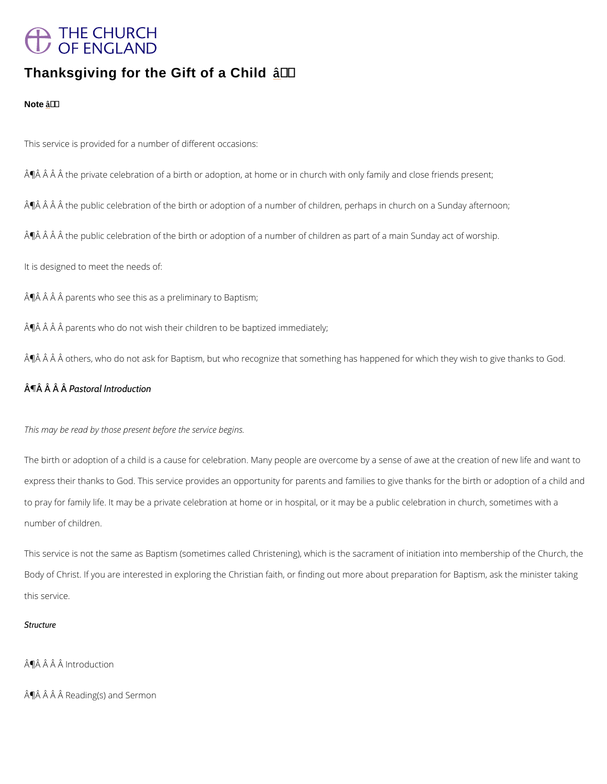# THE CHURCH OF ENGLAND

Thanksgiving for the Gift of a Child  $a + f$ 

Note \_â † '

This service is provided for a number of different occasions:

 $\tilde{A}$   $\tilde{B}$   $\tilde{A}$   $\tilde{A}$   $\tilde{A}$  the private celebration of a birth or adoption, at home or in church with only famil

 $\hat{A}$   $\hat{A}$   $\hat{A}$   $\hat{A}$  the public celebration of the birth or adoption of a number of children, perhaps in

 $\tilde{A}$   $\tilde{B}$   $\tilde{A}$   $\tilde{A}$   $\tilde{A}$  the celebration of the birth or adoption of a number of children as part of a

It is designed to meet the needs of:

 $\hat{A}$   $\hat{P}$   $\hat{A}$   $\hat{A}$   $\hat{A}$  parents who see this as a preliminary to Baptism;

 $\hat{A}$   $\hat{P}$   $\hat{A}$   $\hat{A}$   $\hat{A}$  parents who do not wish their children to be baptized immediately;

 $\hat{\mathsf{A}}$   $\hat{\mathsf{P}}$   $\hat{\mathsf{A}}$   $\hat{\mathsf{A}}$   $\hat{\mathsf{A}}$  others, who do not ask for Baptism, but who recognize that something has happene

¶Â Â Raatoral Introduction

The birth or adoption of a child is a cause for celebration. Many people are overcome by a sense of a express their thanks to God. This service provides an opportunity for parents and families to to pray for family life. It may be a private celebration at home or in hospital, or it may be a number of children.

This service is not the same as Baptism (sometimes called Christening), which is the sacram Body of Christ. If you are interested in exploring the Christian faith, or finding out more abo

This may be read by those present before the service begins.

this service.

**Structure** 

## ¶ÂÂÂ Introduction

 $\hat{A}$   $\hat{B}$   $\hat{A}$   $\hat{A}$   $\hat{A}$  Reading(s) and Sermon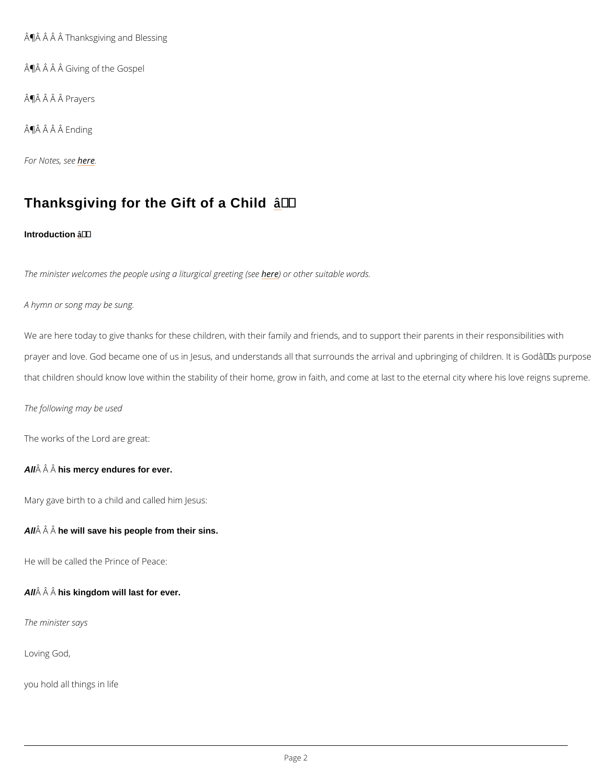Â $\hat{P}$  Â Â Â Thanksgiving and Blessing

ȚĂ Â Â Giving of the Gospel

Â $\hat{P}$  Â Â Â Prayers

Â $\hat{P}$  Â Â Â Ending

For Notebersee e

# Thanksgiving for the Gift of a Child  $a + f$

Introduction \_ â † '

The minister welcomes the people usimige make wintuontghioeral is uginteanebilion gwo(sseis.

A hymn or song may be sung.

We are here today to give thanks for these children, with their family and friends, and to sup prayer and love. God became one of us in Jesus, and understands all that surrounds the arri that children should know love within the stability of their home, grow in faith, and come at I

The following may be used

The works of the Lord are great:

All  $\hat{A}$   $\hat{A}$  hi $\hat{A}$  mercy endures for ever.

Mary gave birth to a child and called him Jesus:

All  $\hat{A}$   $\hat{A}$  h $\hat{A}$  will save his people from their sins.

He will be called the Prince of Peace:

All  $\hat{A}$   $\hat{A}$  hi $\hat{A}$  kingdom will last for ever.

The minister says

Loving God,

you hold all things in life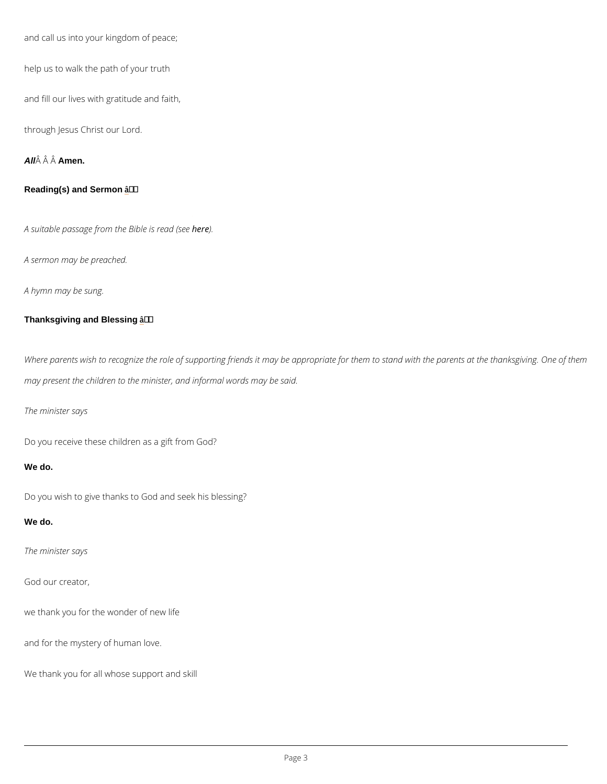```
and call us into your kingdom of peace;
```

```
help us to walk the path of your truth
```
and fill our lives with gratitude and faith,

through Jesus Christ our Lord.

All  $\hat{A}$   $\hat{A}$  Amen.

Reading(s) and Sermon  $a + c$ 

A suitable passage from the eB)eble is read (see

A sermon may be preached.

Where parents wish to recognize the role of supporting friends it may be appropriate for ther may present the children to the minister, and informal words may be said.

A hymn may be sung.

Thanksgiving and Blessing  $a + f$ 

The minister says

Do you receive these children as a gift from God?

We do.

Do you wish to give thanks to God and seek his blessing?

We do.

The minister says

God our creator,

we thank you for the wonder of new life

and for the mystery of human love.

We thank you for all whose support and skill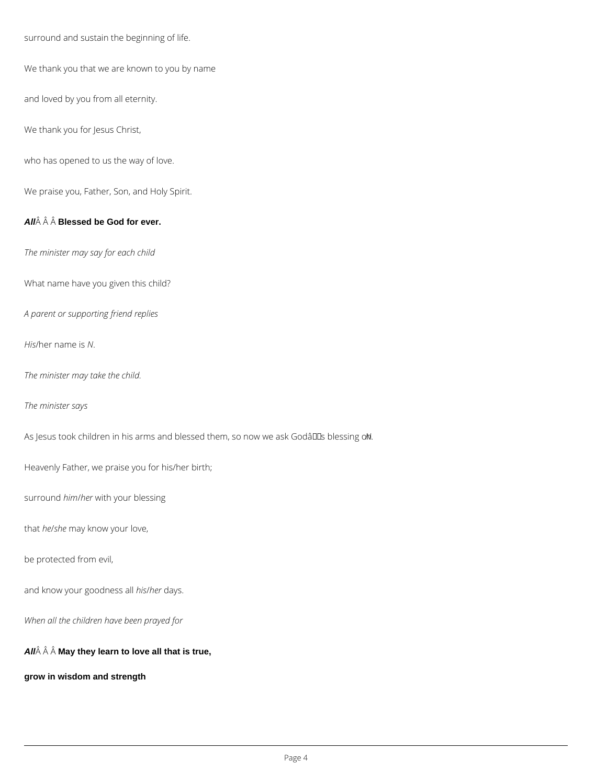surround and sustain the beginning of life.

We thank you that we are known to you by name

and loved by you from all eternity.

We thank you for Jesus Christ,

who has opened to us the way of love.

We praise you, Father, Son, and Holy Spirit.

### **All** $\hat{A}$   $\hat{A}$   $\hat{A}$  Blessed be God for ever.

*The minister may say for each child*

What name have you given this child?

*A parent or supporting friend replies*

*His*/her name is *N*.

*The minister may take the child.*

*The minister says*

As Jesus took children in his arms and blessed them, so now we ask Godâlls blessing om.

Heavenly Father, we praise you for his/her birth;

surround *him*/*her* with your blessing

that *he*/*she* may know your love,

be protected from evil,

and know your goodness all *his*/*her* days.

*When all the children have been prayed for*

All $\hat{A}$   $\hat{A}$   $\hat{A}$  May they learn to love all that is true,

**grow in wisdom and strength**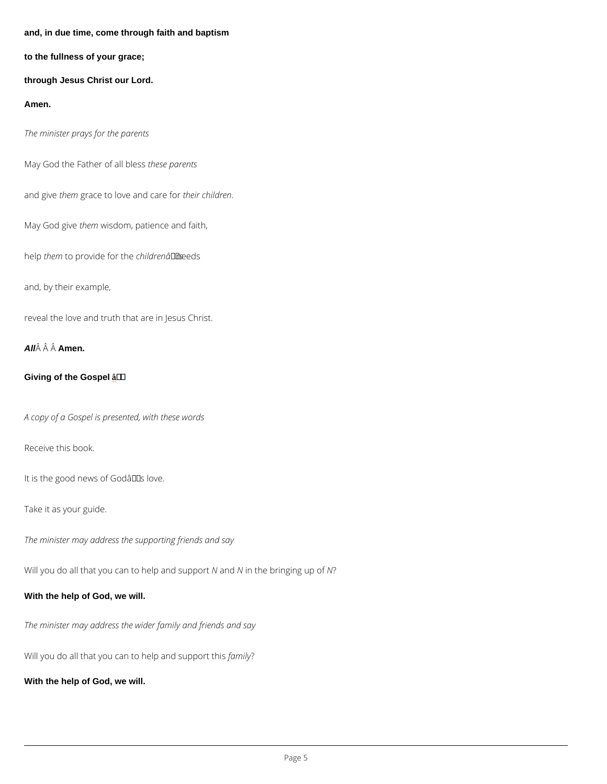and, in due time, come through faith and baptism

to the fullness of your grace;

through Jesus Christ our Lord.

Amen.

The minister prays for the parents

May God the Father tohie a el pod essits

and githeemgrace to love antch earrehfiddren

May God the new isdom, patience and faith,

helphemio provide for the cheapen  $\hat{\mathbf{e}}$  d's

and, by their example,

reveal the love and truth that are in Jesus Christ.

All  $\hat{A}$   $\hat{A}$  Amen.

Giving of the Gospel \_\_ a + '

A copy of a Gospel is presented, with these words

Receive this book.

It is the good news of  $G$ odâ $\in$ <sup>TM</sup>s love.

Take it as your guide.

The minister may address the supporting friends and say

Will you do all that you can to Nhaen **N** iann the upport of the gup of

The minister may address the wider family and friends and say

Will you do all that you can to help and support this

With the help of God, we will.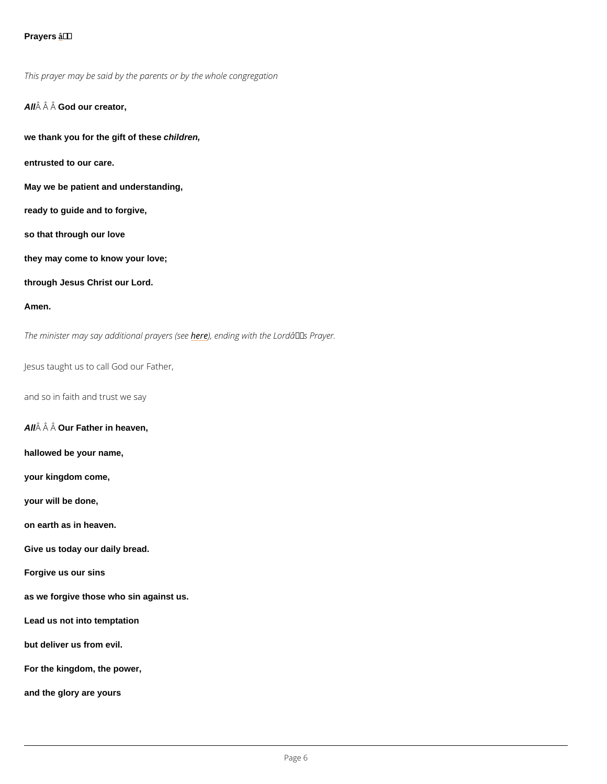### This prayer may be said by the parents or by the whole congregation

All  $\hat{A}$   $\hat{A}$  G $\hat{A}$ d our creator,

we thank you for the gift of these children,

entrusted to our care.

May we be patient and understanding,

ready to guide and to forgive,

so that through our love

they may come to know your love;

through Jesus Christ our Lord.

Amen.

The minister may say addithioenn) alephrobiyn gyr swi(tshe the Lord's Prayer.

Jesus taught us to call God our Father,

and so in faith and trust we say

All  $\hat{A}$   $\hat{A}$  O $\hat{A}$ r Father in heaven,

hallowed be your name,

your kingdom come,

your will be done,

on earth as in heaven.

Give us today our daily bread.

Forgive us our sins

as we forgive those who sin against us.

Lead us not into temptation

but deliver us from evil.

For the kingdom, the power,

and the glory are yours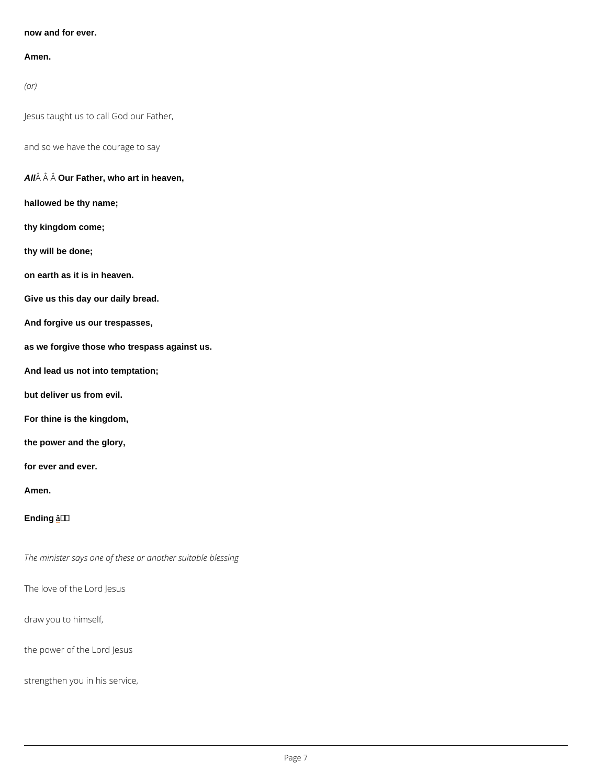now and for ever.

Amen.

(or)

Jesus taught us to call God our Father,

and so we have the courage to say

All  $\hat{A}$   $\hat{A}$  O $\hat{A}$ r Father, who art in heaven,

hallowed be thy name;

thy kingdom come;

thy will be done;

on earth as it is in heaven.

Give us this day our daily bread.

And forgive us our trespasses,

as we forgive those who trespass against us.

And lead us not into temptation;

but deliver us from evil.

For thine is the kingdom,

the power and the glory,

for ever and ever.

Amen.

Ending  $â$  † '

The love of the Lord Jesus

draw you to himself,

the power of the Lord Jesus

strengthen you in his service,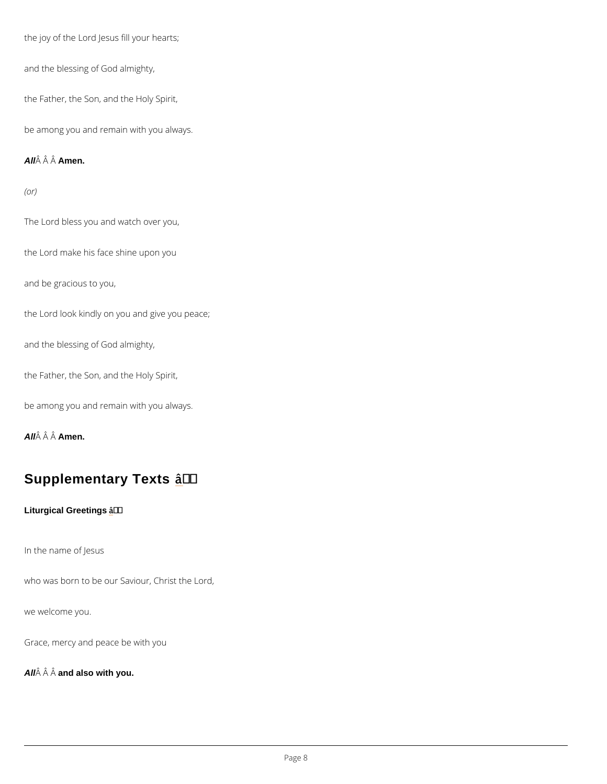the joy of the Lord Jesus fill your hearts; and the blessing of God almighty, the Father, the Son, and the Holy Spirit, be among you and remain with you always. All  $\hat{A}$   $\hat{A}$  Amen. (or) The Lord bless you and watch over you, the Lord make his face shine upon you and be gracious to you, the Lord look kindly on you and give you peace; and the blessing of God almighty, the Father, the Son, and the Holy Spirit, be among you and remain with you always. All  $\hat{A}$   $\hat{A}$  Amen. Supplementary Texts ↑

Liturgical Greetings  $ât'$ 

In the name of Jesus

who was born to be our Saviour, Christ the Lord,

we welcome you.

Grace, mercy and peace be with you

All  $\hat{A}$   $\hat{A}$  and also with you.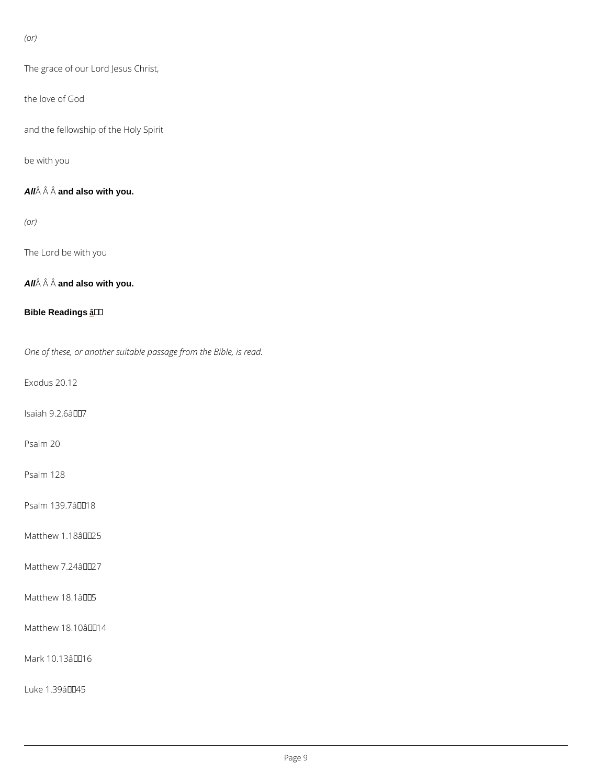(or)

The grace of our Lord Jesus Christ,

the love of God

and the fellowship of the Holy Spirit

be with you

All  $\hat{A}$   $\hat{A}$  and also with you.

(or)

The Lord be with you

All  $\hat{A}$   $\hat{A}$  and also with you.

Bible Readings \_ â † '

One of these, or another suitable passage from the Bible, is read.

Exodus 20.12

Isaiah  $9.2,6$ â $\in$ "7

Psalm 20

Psalm 128

Psalm  $139.7â€"18$ 

Matthew 1.18 $a \in 25$ 

Matthew  $7.24$  $\hat{a} \in 27$ 

### Matthew  $18.1$  $\hat{a} \in 5$

Matthew  $18.10$   $\hat{a} \in 14$ 

 $Mark$  10.13–16

Luke 1.39–45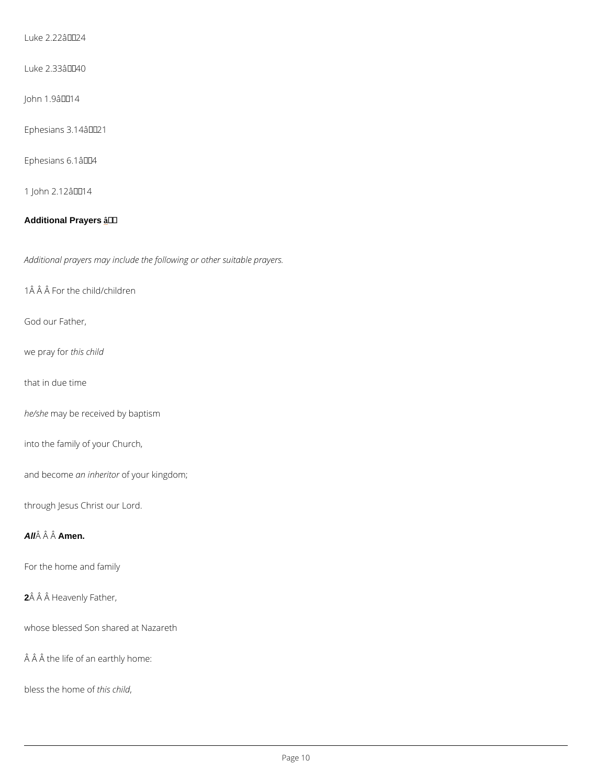Luke 2.22–24

Luke 2.33–40

John  $1.9$ â $\in$ "14

Ephesians  $3.14$ â $\in$ "21

Ephesians  $6.1$ â $6$ "4

1 John 2.12 $â€$ "14

Additional Prayers \_\_ â † '

Additional prayers may include the following or other suitable prayers.

1Â Â Â For the child/children

God our Father,

we praythos child

that in due time

he/shmeay be received by baptism

into the family of your Church,

and becommeinheroifoyour kingdom;

through Jesus Christ our Lord.

All  $\hat{A}$   $\hat{A}$  Amen.

For the home and family

## 2Â Â Â Heavenly Father,

whose blessed Son shared at Nazareth

 $\hat{A}$   $\hat{A}$  the life of an earthly home:

bless the  $h$  othmies octhild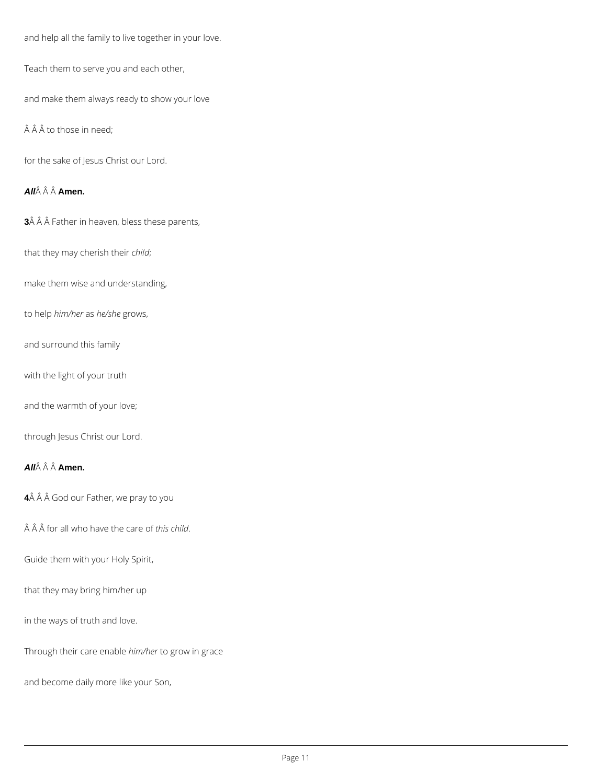and help all the family to live together in your love.

Teach them to serve you and each other,

and make them always ready to show your love

 $\hat{A}$   $\hat{A}$  to those in need;

for the sake of Jesus Christ our Lord.

## **All Amen.**

**3** $\hat{A}$   $\hat{A}$   $\hat{A}$  Father in heaven, bless these parents,

that they may cherish their *child*;

make them wise and understanding,

to help *him/her* as *he/she* grows,

and surround this family

with the light of your truth

and the warmth of your love;

through Jesus Christ our Lord.

## **All Amen.**

**4** $\hat{A}$   $\hat{A}$   $\hat{A}$  God our Father, we pray to you

 $\hat{A}$   $\hat{A}$  for all who have the care of *this child*.

Guide them with your Holy Spirit,

that they may bring him/her up

in the ways of truth and love.

Through their care enable *him/her* to grow in grace

and become daily more like your Son,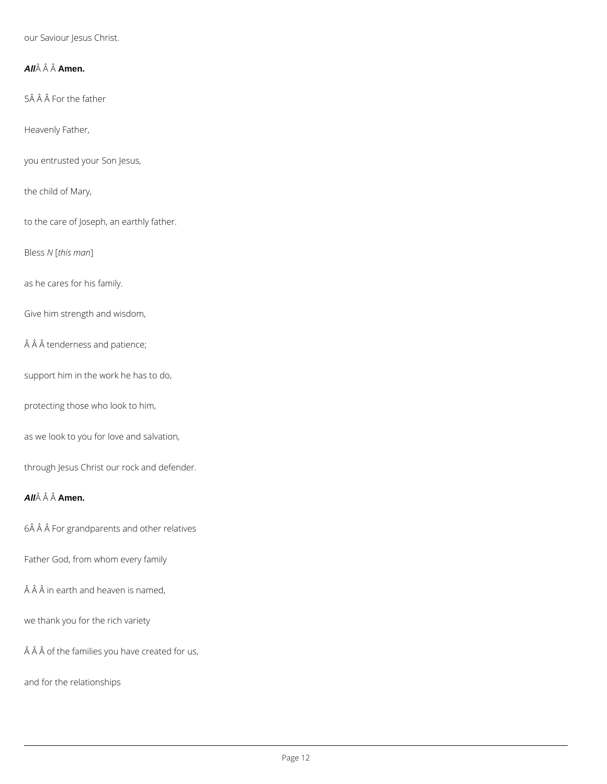our Saviour Jesus Christ.

**All Amen.**

5Â Â Â For the father

Heavenly Father,

you entrusted your Son Jesus,

the child of Mary,

to the care of Joseph, an earthly father.

Bless *N* [*this man*]

as he cares for his family.

Give him strength and wisdom,

 $\hat{A}$   $\hat{A}$  tenderness and patience;

support him in the work he has to do,

protecting those who look to him,

as we look to you for love and salvation,

through Jesus Christ our rock and defender.

### **All Amen.**

6Â Â Â For grandparents and other relatives

Father God, from whom every family

 $\hat{A}$  $\hat{A}$  $\hat{A}$  in earth and heaven is named,

we thank you for the rich variety

 $\hat{A}$   $\hat{A}$   $\hat{A}$  of the families you have created for us,

and for the relationships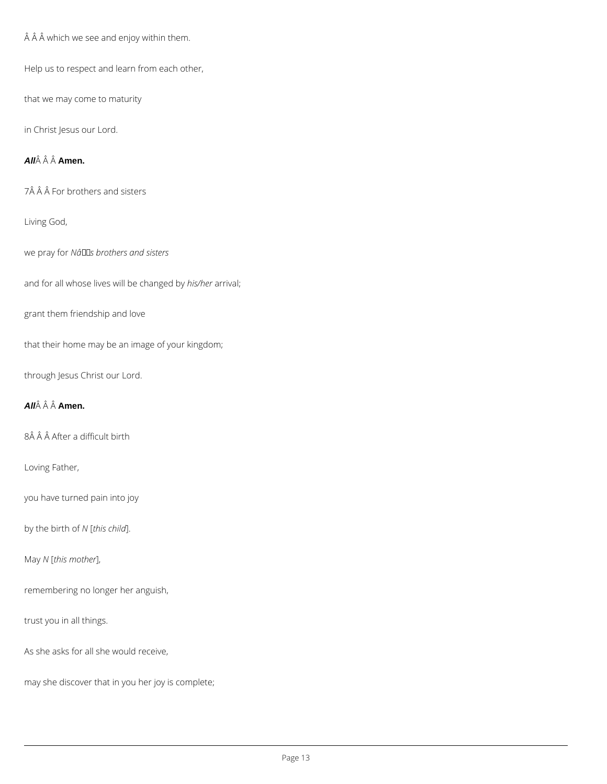$\hat{A}$   $\hat{A}$   $\hat{A}$  which we see and enjoy within them.

Help us to respect and learn from each other,

that we may come to maturity

in Christ Jesus our Lord.

## **All Amen.**

7Â Â Â For brothers and sisters

Living God,

we pray for *Nâ*IIIs brothers and sisters

and for all whose lives will be changed by *his/her* arrival;

grant them friendship and love

that their home may be an image of your kingdom;

through Jesus Christ our Lord.

## **All Amen.**

8Â Â Â After a difficult birth

Loving Father,

you have turned pain into joy

by the birth of *N* [*this child*].

May *N* [*this mother*],

remembering no longer her anguish,

trust you in all things.

As she asks for all she would receive,

may she discover that in you her joy is complete;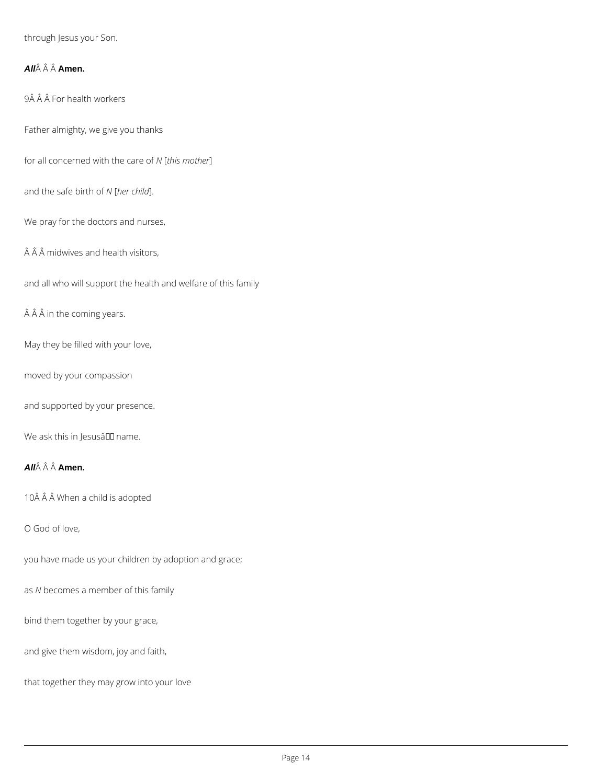through Jesus your Son.

### **All Amen.**

9Â Â Â For health workers

Father almighty, we give you thanks

for all concerned with the care of *N* [*this mother*]

and the safe birth of *N* [*her child*].

We pray for the doctors and nurses,

 $\hat{A}$   $\hat{A}$   $\hat{A}$  midwives and health visitors,

and all who will support the health and welfare of this family

 $\hat{A}$  $\hat{A}$  $\hat{A}$  in the coming years.

May they be filled with your love,

moved by your compassion

and supported by your presence.

We ask this in JesusâlD name.

### **All Amen.**

10Â Â Â When a child is adopted

O God of love,

you have made us your children by adoption and grace;

as *N* becomes a member of this family

bind them together by your grace,

and give them wisdom, joy and faith,

that together they may grow into your love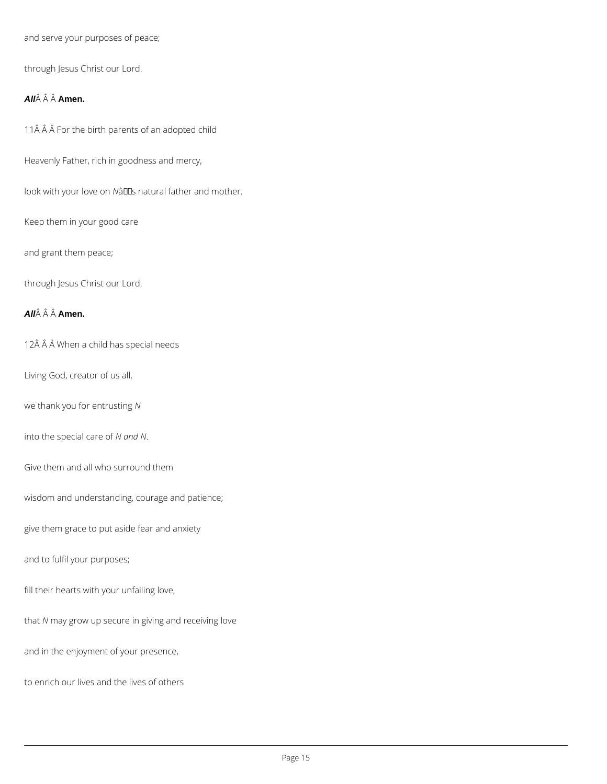and serve your purposes of peace;

through Jesus Christ our Lord.

## **All Amen.**

11Â Â Â For the birth parents of an adopted child

Heavenly Father, rich in goodness and mercy,

look with your love on *N*âDDs natural father and mother.

Keep them in your good care

and grant them peace;

through Jesus Christ our Lord.

## **All Amen.**

12Â Â Â When a child has special needs

Living God, creator of us all,

we thank you for entrusting *N*

into the special care of *N and N*.

Give them and all who surround them

wisdom and understanding, courage and patience;

give them grace to put aside fear and anxiety

and to fulfil your purposes;

fill their hearts with your unfailing love,

that *N* may grow up secure in giving and receiving love

and in the enjoyment of your presence,

to enrich our lives and the lives of others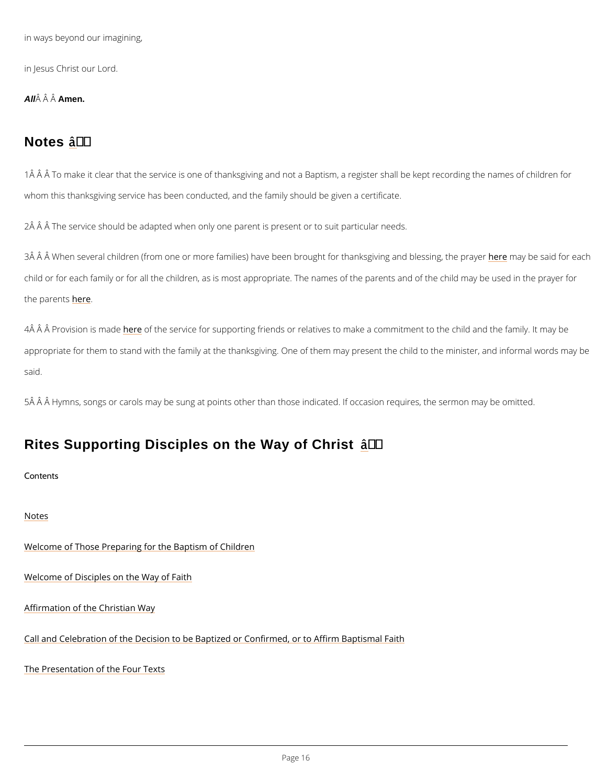in ways beyond our imagining,

in Jesus Christ our Lord.

All  $\hat{A}$   $\hat{A}$  Amen.

## Notes â†'

1Â Â Â To make it clear that the service is one of thanksgiving and not a Baptism, a register whom this thanksgiving service has been conducted, and the family should be given a certific

2Ă Â Ã The service should be adapted when only one parent is present or to suit particular n

3Â Â Â When several children (from one or more families) have been broug**he**rfe**o**nrayh**be**kssagiidvifoog child or for each family or for all the children, as is most appropriate. The names of the pare the parentse

4Â Â Â Provisionh **es eonfathee** service for supporting friends or relatives to make a commitment to appropriate for them to stand with the family at the thanksgiving. One of them may present the said.

5Â Â Â Hymns, songs or carols may be sung at points other than those indicated. If occasion

Rites Supporting Disciples on the Way of Christ  $a + f$ 

Contents

Notes

Welcome of Those Preparing for the Baptism of Children

Welcome of Disciples on the Way of Faith

Affirmation of the Christian Way

Call and Celebration of the Decision to be Baptized or Confirmed, or to Affirm Baptismal Fait

The Presentation of the Four Texts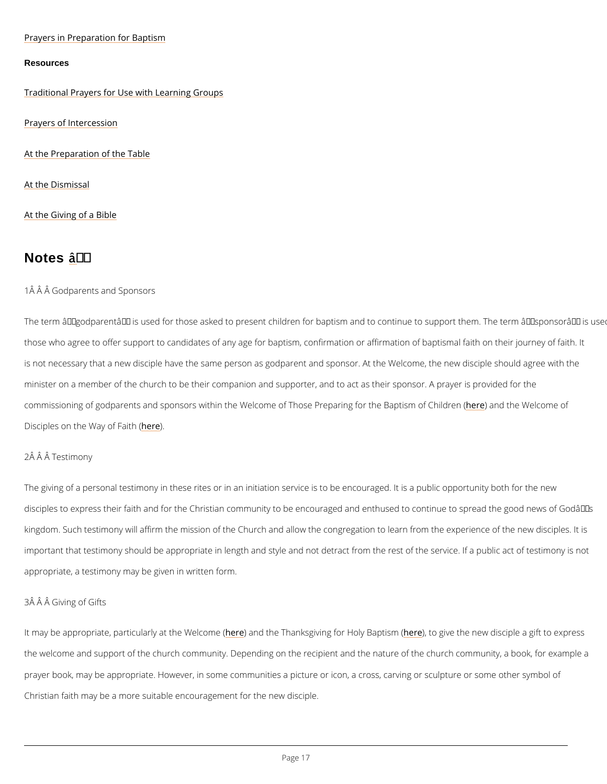### Prayers in Preparation for Baptism

### Resources

Traditional Prayers for Use with Learning Groups

Prayers of Intercession

At the Preparation of the Table

At the Dismissal

At the Giving of a Bible

# Notes â†'

### 1Â Â Â Godparents and Sponsors

The term  $\hat{a} \in \tilde{a}$  and  $\hat{a} \in \mathbb{N}$  is used for those asked to present children for baptism and to co those who agree to offer support to candidates of any age for baptism, confirmation or affirm is not necessary that a new disciple have the same person as godparent and sponsor. At the minister on a member of the church to be their companion and supporter, and to act as their commissioning of godparents and sponsors within the Welcome of ThosheeP) eeephadritrhge fWoreltchoem Bea Disciples on the Wheref Faith (

### 2Â Â TÂestimony

The giving of a personal testimony in these rites or in an initiation service is to be encourag disciples to express their faith and for the Christian community to be encouraged and enthus kingdom. Such testimony will affirm the mission of the Church and allow the congregation to important that testimony should be appropriate in length and style and not detract from the r appropriate, a testimony may be given in written form.

It may be appropriate, particula<u>rhlye</u>rhetathde thMeelTchonameks(giving fo<u>heHopely</u>toBagiputiesnthe( new disciple a

the welcome and support of the church community. Depending on the recipient and the nature

prayer book, may be appropriate. However, in some communities a picture or icon, a cross, c

Christian faith may be a more suitable encouragement for the new disciple.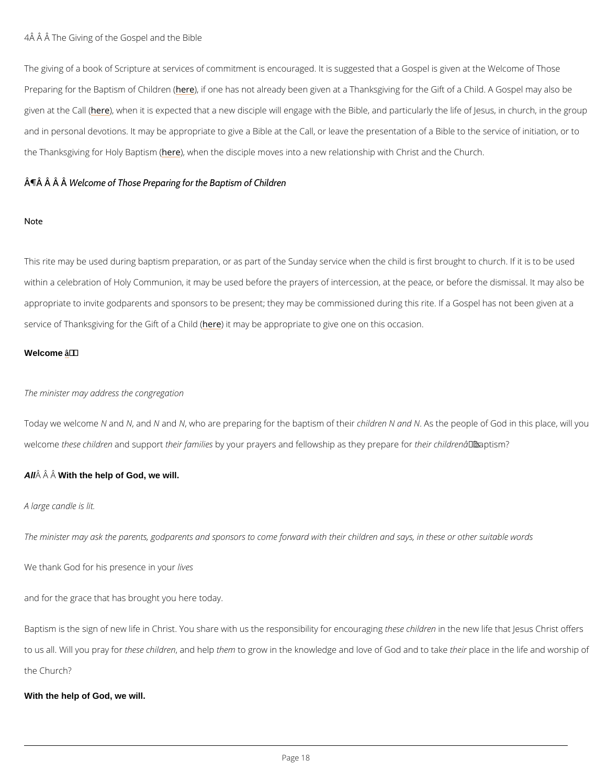### 4Â Â Â The Giving of the Gospel and the Bible

The giving of a book of Scripture at services of commitment is encouraged. It is suggested that Preparing for the Baptismeot, Chiddeehas not already been given at a Thanksgiving for the Gif given at the cCellwhen it is expected that a new disciple will engage with the Bible, and partic and in personal devotions. It may be appropriate to give a Bible at the Call, or leave the pre the Thanksgiving for [Holy](/var/www/www.churchofengland.org/web/rites-affirmation-appropriating-baptism#p184) bestup that the disciple moves into a new relationship with Christ and t

 $\hat{A}$   $\P$  $\hat{A}$   $\hat{A}$   $\hat{W}$   $e\hat{A}$  come of Those Preparing for the Baptism of Children

### Note

This rite may be used during baptism preparation, or as part of the Sunday service when the within a celebration of Holy Communion, it may be used before the prayers of intercession, a appropriate to invite godparents and sponsors to be present; they may be commissioned duri service of Thanksgiving for the engit tmo fyabel happropriate to give one on this occasion.

### Welcome  $â + '$

The minister may address the congregation

Today we well coom the an and and who are preparing for the blaip thirsen whit. A share it the people of God in this welcomhee se chialdamde i**s** upphoer tr fambilyieyso ur prayers and fellowship at setilnecyhip d**breape** faceS in thoso

All  $\hat{A}$   $\hat{A}$  W $\hat{A}$ th the help of God, we will.

A large candle is lit.

The minister may ask the parents, godparents and sponsors to come forward with their childr

We thank God for his prelseesse in your

and for the grace that has brought you here today.

Baptism is the sign of new life in Christ. You share with utshelbe chesilpodorten seibnie thy life that oule as quish

to us all. Will yot**h**epsreay chipl**en ne**thtehlepmio grow in the knowledge and love tho efip**Gae** de aimd thoe tlaikee and

the Church?

With the help of God, we will.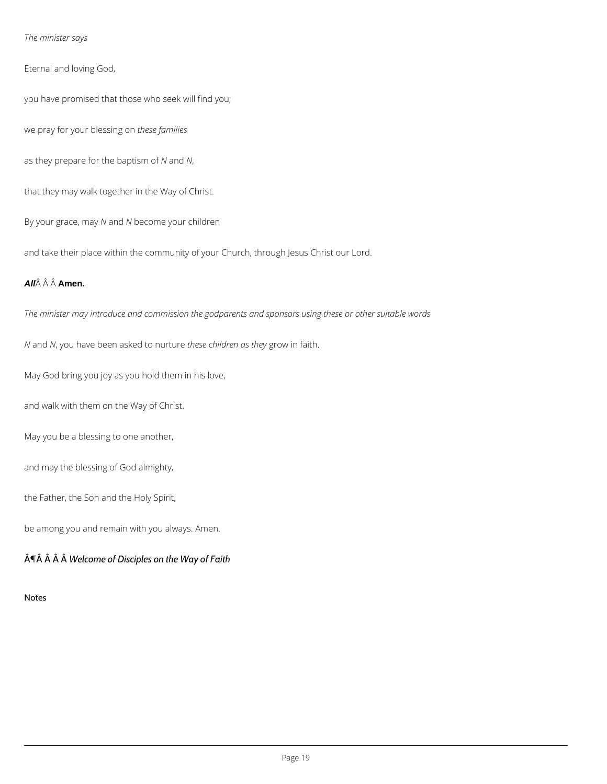*The minister says*

Eternal and loving God,

you have promised that those who seek will find you;

we pray for your blessing on *these families*

as they prepare for the baptism of *N* and *N*,

that they may walk together in the Way of Christ.

By your grace, may *N* and *N* become your children

and take their place within the community of your Church, through Jesus Christ our Lord.

### **All Amen.**

*The minister may introduce and commission the godparents and sponsors using these or other suitable words*

*N* and *N*, you have been asked to nurture *these children as they* grow in faith.

May God bring you joy as you hold them in his love,

and walk with them on the Way of Christ.

May you be a blessing to one another,

and may the blessing of God almighty,

the Father, the Son and the Holy Spirit,

be among you and remain with you always. Amen.

### ¶ *Welcome of Disciples on the Way of Faith*

Notes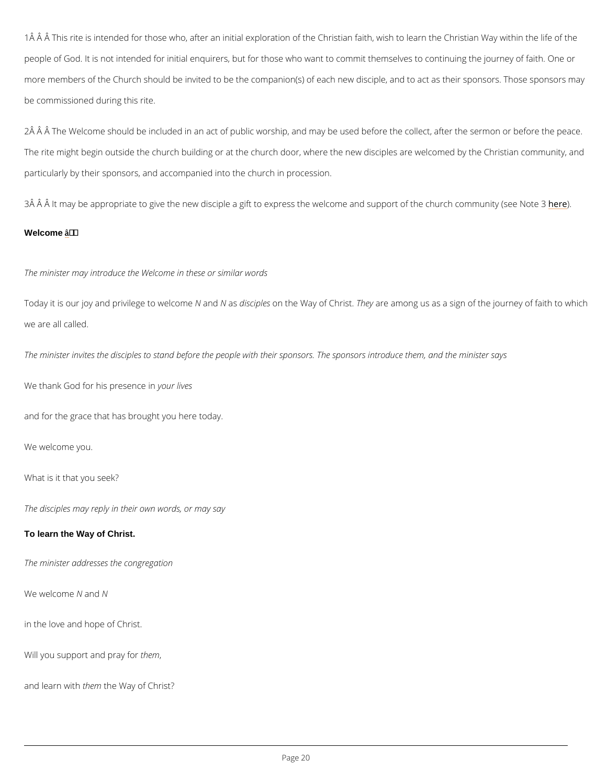1Â Â Â This rite is intended for those who, after an initial exploration of the Christian faith, people of God. It is not intended for initial enquirers, but for those who want to commit them more members of the Church should be invited to be the companion(s) of each new disciple, be commissioned during this rite.

2Â Â Â The Welcome should be included in an act of public worship, and may be used before The rite might begin outside the church building or at the church door, where the new discipl particularly by their sponsors, and accompanied into the church in procession.

3Ã Â Â It may be appropriate to give the new disciple a gift to express the welcome hammes supp Welcome  $â + '$ 

Today it is our joy and priv**N eagneN aosdiws eclipolenes a**the Way off **NC eharrie** tamong us as a sign of the journe we are all called.

The minister invites the disciples to stand before the people with their sponsors. The sponso

We thank God for his your ensel in worses in

The minister may introduce the Welcome in these or similar words

and for the grace that has brought you here today.

We welcome you.

What is it that you seek?

The disciples may reply in their own words, or may say

To learn the Way of Christ.

The minister addresses the congregation

### We welcoMmaen N

in the love and hope of Christ.

Will you support and epmay for

and learnt weth the Way of Christ?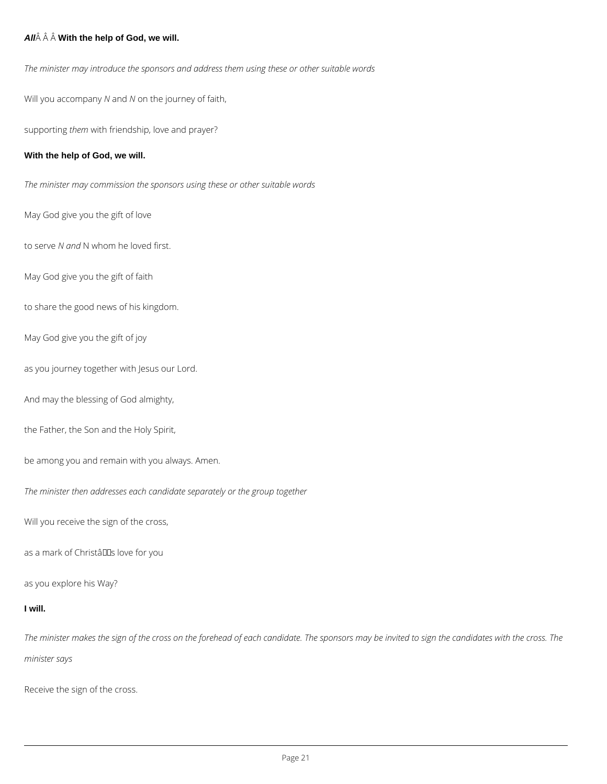## **All** $\hat{A}$   $\hat{A}$   $\hat{A}$  With the help of God, we will.

*The minister may introduce the sponsors and address them using these or other suitable words*

Will you accompany *N* and *N* on the journey of faith,

supporting *them* with friendship, love and prayer?

### **With the help of God, we will.**

*The minister may commission the sponsors using these or other suitable words*

May God give you the gift of love

to serve *N and* N whom he loved first.

May God give you the gift of faith

to share the good news of his kingdom.

May God give you the gift of joy

as you journey together with Jesus our Lord.

And may the blessing of God almighty,

the Father, the Son and the Holy Spirit,

be among you and remain with you always. Amen.

*The minister then addresses each candidate separately or the group together*

Will you receive the sign of the cross,

as a mark of Christâllas love for you

### **I will.**

*The minister makes the sign of the cross on the forehead of each candidate. The sponsors may be invited to sign the candidates with the cross. The* 

*minister says*

Receive the sign of the cross.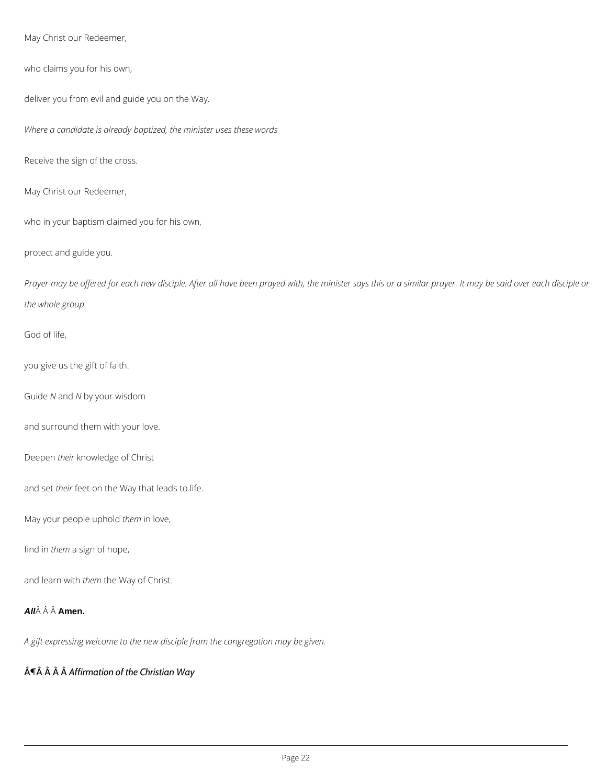May Christ our Redeemer,

who claims you for his own,

deliver you from evil and guide you on the Way.

*Where a candidate is already baptized, the minister uses these words*

Receive the sign of the cross.

May Christ our Redeemer,

who in your baptism claimed you for his own,

protect and guide you.

*Prayer may be offered for each new disciple. After all have been prayed with, the minister says this or a similar prayer. It may be said over each disciple or the whole group.*

God of life,

you give us the gift of faith.

Guide *N* and *N* by your wisdom

and surround them with your love.

Deepen *their* knowledge of Christ

and set *their* feet on the Way that leads to life.

May your people uphold *them* in love,

find in *them* a sign of hope,

and learn with *them* the Way of Christ.

## **All Amen.**

*A gift expressing welcome to the new disciple from the congregation may be given.*

# ¶ *Affirmation of the Christian Way*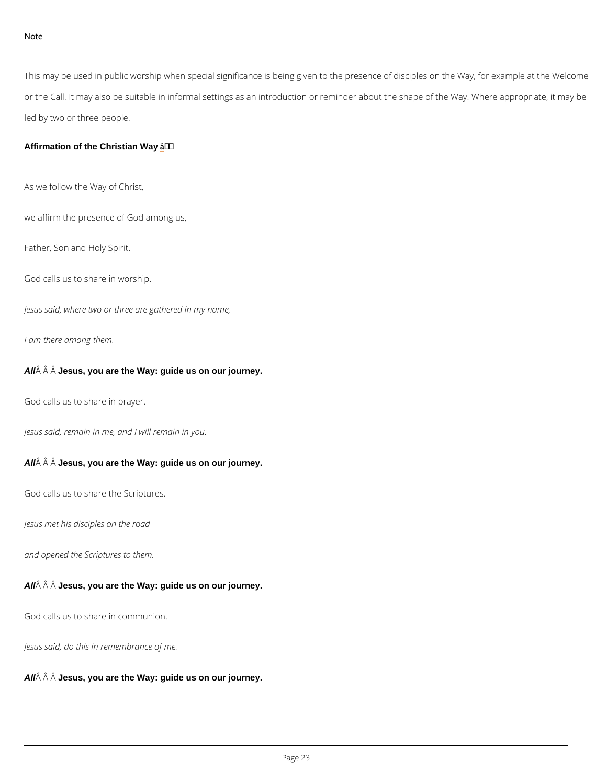### Note

This may be used in public worship when special significance is being given to the presence or the Call. It may also be suitable in informal settings as an introduction or reminder about led by two or three people.

Affirmation of the Christian Way  $a + 4$ 

As we follow the Way of Christ,

we affirm the presence of God among us,

Father, Son and Holy Spirit.

God calls us to share in worship.

Jesus said, where two or three are gathered in my name,

I am there among them.

All  $\hat{A}$   $\hat{A}$  J $\hat{A}$ us, you are the Way: guide us on our journey.

God calls us to share in prayer.

Jesus said, remain in me, and I will remain in you.

All  $\hat{A}$   $\hat{A}$  J $\hat{d}$ sus, you are the Way: guide us on our journey.

God calls us to share the Scriptures.

Jesus met his disciples on the road

and opened the Scriptures to them.

All  $\hat{A}$   $\hat{A}$  Jesus, you are the Way: guide us on our journey.

God calls us to share in communion.

Jesus said, do this in remembrance of me.

All  $\hat{A}$   $\hat{A}$  J $\hat{A}$ us, you are the Way: guide us on our journey.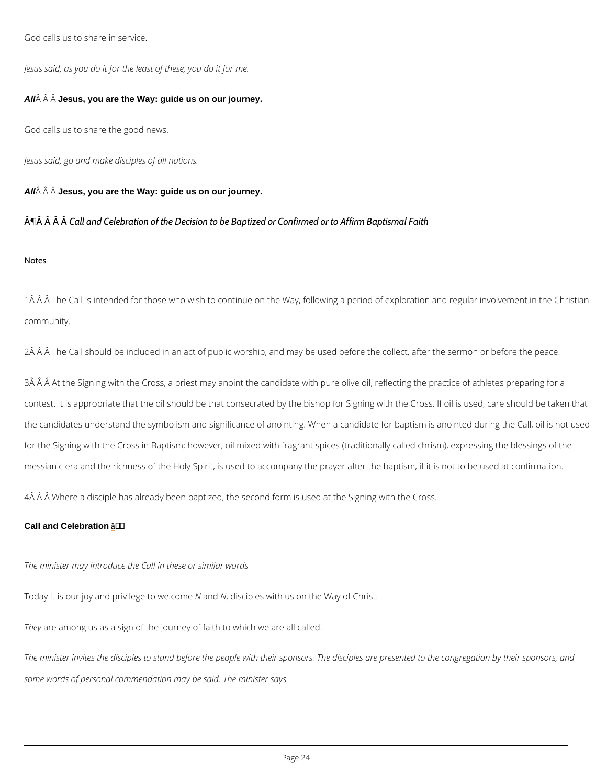God calls us to share in service.

Jesus said, as you do it for the least of these, you do it for me.

All  $\hat{A}$   $\hat{A}$  J $\hat{A}$  uses you are the Way: guide us on our journey.

God calls us to share the good news.

Jesus said, go and make disciples of all nations.

All  $\hat{A}$   $\hat{A}$  Jesus, you are the Way: quide us on our journey.

 $\hat{A}$   $\hat{\textbf{q}}$   $\hat{A}$   $\hat{\textbf{q}}$   $\hat{\textbf{q}}$  and Celebration of the Decision to be Baptized or Confirmed or to Affirm

1Ã Â Â The Call is intended for those who wish to continue on the Way, following a period of community.

2Â Â Â The Call should be included in an act of public worship, and may be used before the c

3Â Â Â At the Signing with the Cross, a priest may anoint the candidate with pure olive oil, r contest. It is appropriate that the oil should be that consecrated by the bishop for Signing w the candidates understand the symbolism and significance of anointing. When a candidate fo for the Signing with the Cross in Baptism; however, oil mixed with fragrant spices (traditiona messianic era and the richness of the Holy Spirit, is used to accompany the prayer after the

4Ã Ã Ã Where a disciple has already been baptized, the second form is used at the Signing w Call and Celebration  $a + f$ 

Notes

The minister may introduce the Call in these or similar words

Today it is our joy and priv**N agneN**, t**olisve ilpoloense** with us on the Way of Christ.

The gre among us as a sign of the journey of faith to which we are all called.

The minister invites the disciples to stand before the people with their sponsors. The discipl

some words of personal commendation may be said. The minister says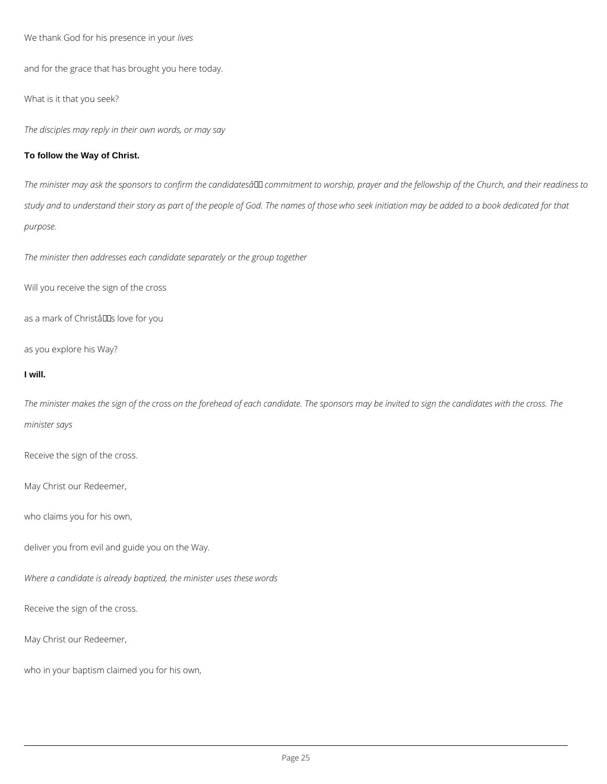We thank God for his presence in your *lives*

and for the grace that has brought you here today.

What is it that you seek?

*The disciples may reply in their own words, or may say*

### **To follow the Way of Christ.**

The minister may ask the sponsors to confirm the candidatesâ□□ commitment to worship, prayer and the fellowship of the Church, and their readiness to *study and to understand their story as part of the people of God. The names of those who seek initiation may be added to a book dedicated for that purpose.*

*The minister then addresses each candidate separately or the group together*

Will you receive the sign of the cross

as a mark of Christâlls love for you

as you explore his Way?

### **I will.**

*The minister makes the sign of the cross on the forehead of each candidate. The sponsors may be invited to sign the candidates with the cross. The minister says*

Receive the sign of the cross.

May Christ our Redeemer,

who claims you for his own,

deliver you from evil and guide you on the Way.

*Where a candidate is already baptized, the minister uses these words*

Receive the sign of the cross.

May Christ our Redeemer,

who in your baptism claimed you for his own,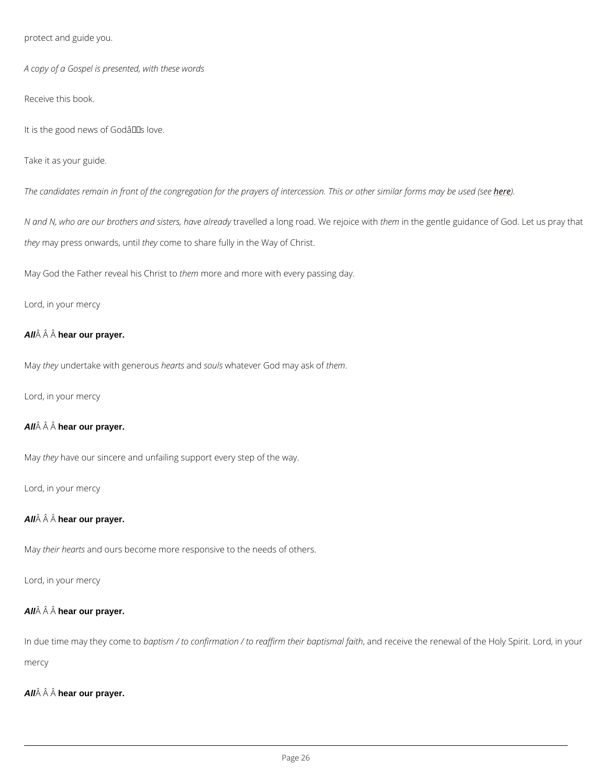protect and guide you.

A copy of a Gospel is presented, with these words

Receive this book.

It is the good news of  $G$ od  $\hat{a} \in T^M$ s love.

Take it as your guide.

The candidates remain in front of the congregation for the prayers of interchessipeion. This or other

N and N, who are our brothers and trsaivset elresd, halvoengalmoeandd.y Wheen inen otihcee gweinhile guidance of God. L the ynay press on waths  $x$  am bilto share fully in the Way of Christ.

May God the Father reveal het min o C arasted to ore with every passing day.

Lord, in your mercy

All  $\hat{A}$   $\hat{A}$  hear our prayer.

May hey indertake with gheemast heands soul wish at ever God mahy eans kof

Lord, in your mercy

All  $\hat{A}$   $\hat{A}$  hear our prayer.

Mayhehave our sincere and unfailing support every step of the way.

Lord, in your mercy

All  $\hat{A}$   $\hat{A}$  hear our prayer.

May heir hearnt this ours become more responsive to the needs of others.

Lord, in your mercy

All  $\hat{A}$   $\hat{A}$  hear our prayer.

In due time may thebyapcbinsment foto confirmation / to reaffi,rmantcheriercbeix petitshmear efnaeitwhal of the Holy S

mercy

All  $\hat{A}$   $\hat{A}$  hear our prayer.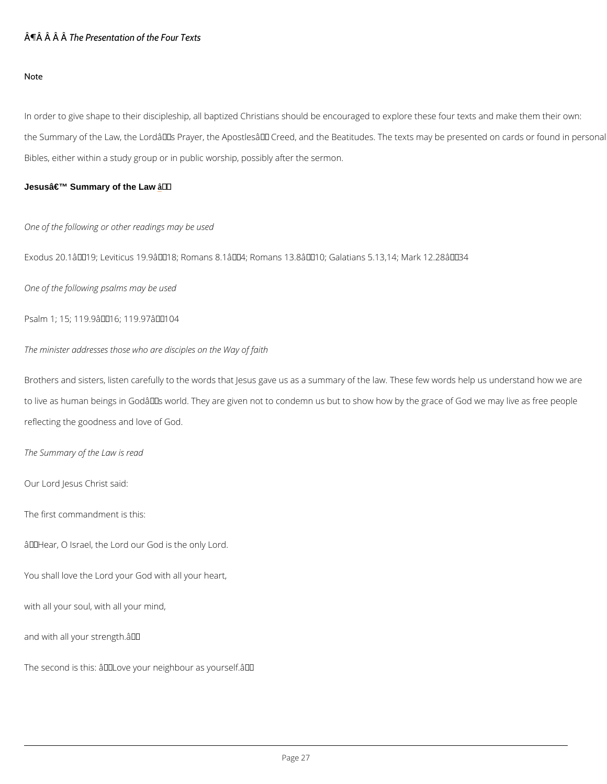### $\hat{A}$   $\hat{T}$  $\hat{A}$   $\hat{A}$   $\hat{B}$   $\hat{B}$  Presentation of the Four Texts

Note

In order to give shape to their discipleship, all baptized Christians should be encouraged to the Summary of the Law, the Lordâ $\in$  TMs Prayer, the Apostlesâ $\in$  TM Creed, and the Beatitudes. Bibles, either within a study group or in public worship, possibly after the sermon.

Jesusâ€<sup>™</sup> Summary of the Law \_ a<sup>+</sup>

One of the following or other readings may be used

Exodus 20.1â $\epsilon$ "19; Leviticus 19.9â $\epsilon$ "18; Romans 8.1â $\epsilon$ "4; Romans 13.8â $\epsilon$ "10; Galatians 5.13,

Brothers and sisters, listen carefully to the words that Jesus gave us as a summary of the la to live as human beings in God's world. They are given not to condemn us but to show ho reflecting the goodness and love of God.

One of the following psalms may be used

Psalm 1; 15; 119.9–16; 119.97–104

The minister addresses those who are disciples on the Way of faith

The Summary of the Law is read

Our Lord Jesus Christ said:

The first commandment is this:

†Hear, O Israel, the Lord our God is the only Lord.

You shall love the Lord your God with all your heart,

with all your soul, with all your mind,

and with all your strength. a€™

The second is this:  $\hat{a} \in \tilde{L}$  Love your neighbour as yourself.  $\hat{a} \in \tilde{L}$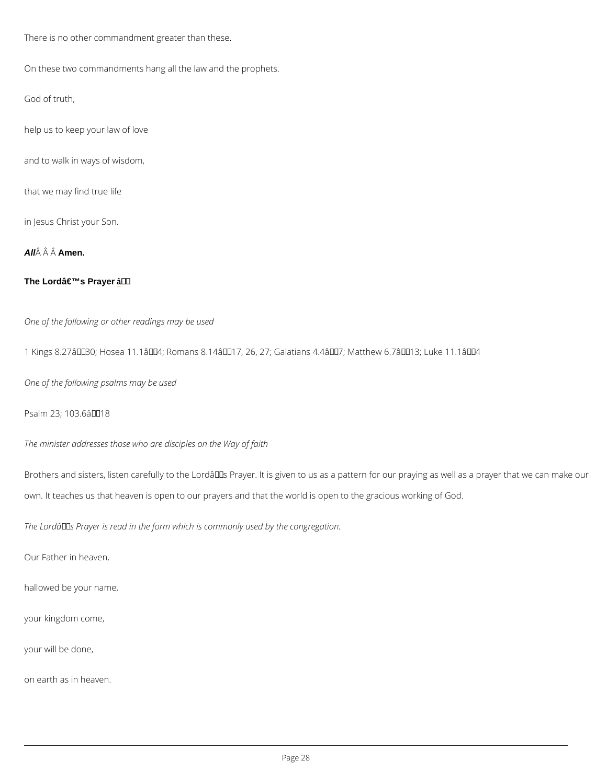There is no other commandment greater than these.

On these two commandments hang all the law and the prophets.

God of truth,

help us to keep your law of love

and to walk in ways of wisdom,

that we may find true life

in Jesus Christ your Son.

All  $\hat{A}$   $\hat{A}$  Amen.

The Lordâ€<sup>™</sup>s Prayer â†

One of the following or other readings may be used

1 Kings 8.27–30; Hosea 11.1–4; Romans 8.14–17, 26, 27; Galatians 4.4–7; Matthew

One of the following psalms may be used

Psalm  $23$ ; 103.6–18

The minister addresses those who are disciples on the Way of faith

Brothers and sisters, listen carefully to the Lord $\hat{a} \in \mathbb{M}$ s Prayer. It is given to us as a pattern f own. It teaches us that heaven is open to our prayers and that the world is open to the graci

The Lord $\hat{a} \in \mathbb{M}$  s Prayer is read in the form which is commonly used by the congregation.

Our Father in heaven,

hallowed be your name,

your kingdom come,

your will be done,

on earth as in heaven.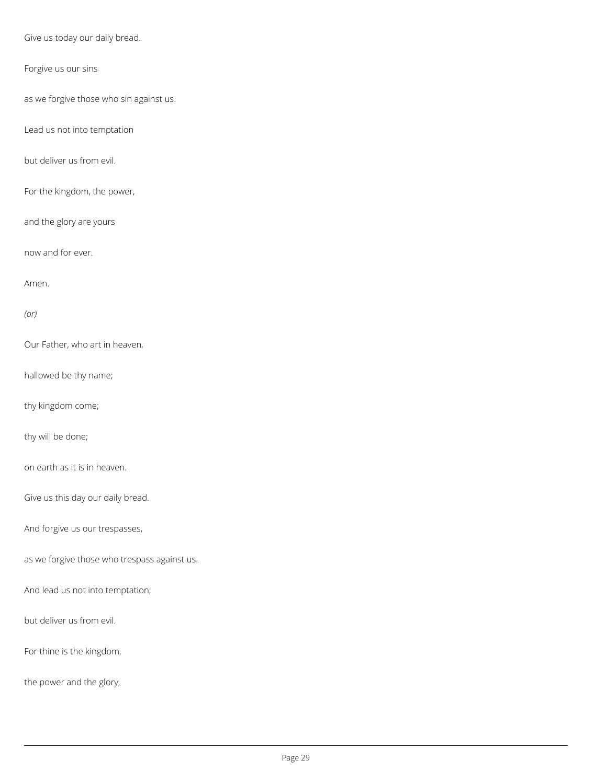Give us today our daily bread.

Forgive us our sins

as we forgive those who sin against us.

Lead us not into temptation

but deliver us from evil.

For the kingdom, the power,

and the glory are yours

now and for ever.

Amen.

*(or)*

Our Father, who art in heaven,

hallowed be thy name;

thy kingdom come;

thy will be done;

on earth as it is in heaven.

Give us this day our daily bread.

And forgive us our trespasses,

as we forgive those who trespass against us.

And lead us not into temptation;

but deliver us from evil.

For thine is the kingdom,

the power and the glory,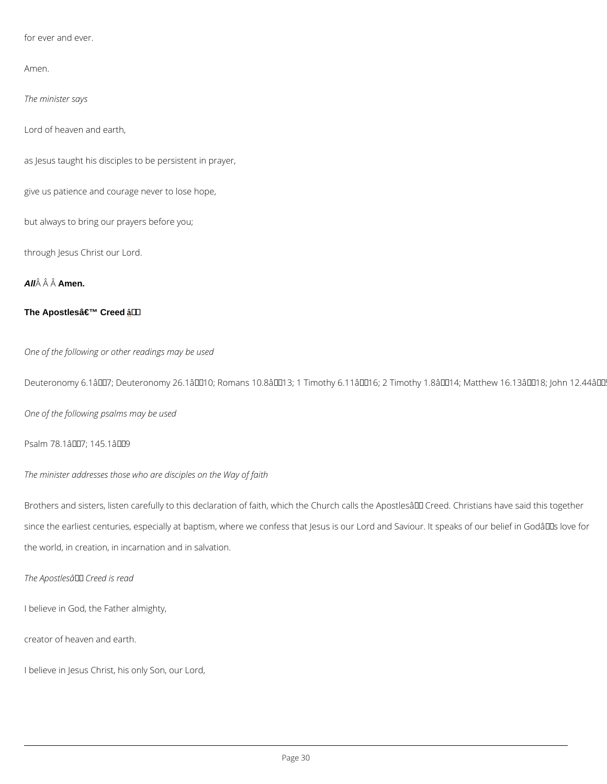for ever and ever.

Amen.

The minister says

Lord of heaven and earth,

as Jesus taught his disciples to be persistent in prayer,

give us patience and courage never to lose hope,

but always to bring our prayers before you;

through Jesus Christ our Lord.

All  $\hat{A}$   $\hat{A}$  Amen.

The Apostlesâ€<sup>™</sup> Creed \_ â † '

One of the following or other readings may be used

Deuteronomy 6.1â $\in$ "7; Deuteronomy 26.1â $\in$ "10; Romans 10.8â $\in$ "13; 1 Timothy 6.11â $\in$ "16; 2 T

Brothers and sisters, listen carefully to this declaration of faith, which the Church calls the since the earliest centuries, especially at baptism, where we confess that Jesus is our Lord the world, in creation, in incarnation and in salvation.

The Apostles' Creed is read

One of the following psalms may be used

Psalm 78.1–7; 145.1–9

The minister addresses those who are disciples on the Way of faith

I believe in God, the Father almighty,

creator of heaven and earth.

I believe in Jesus Christ, his only Son, our Lord,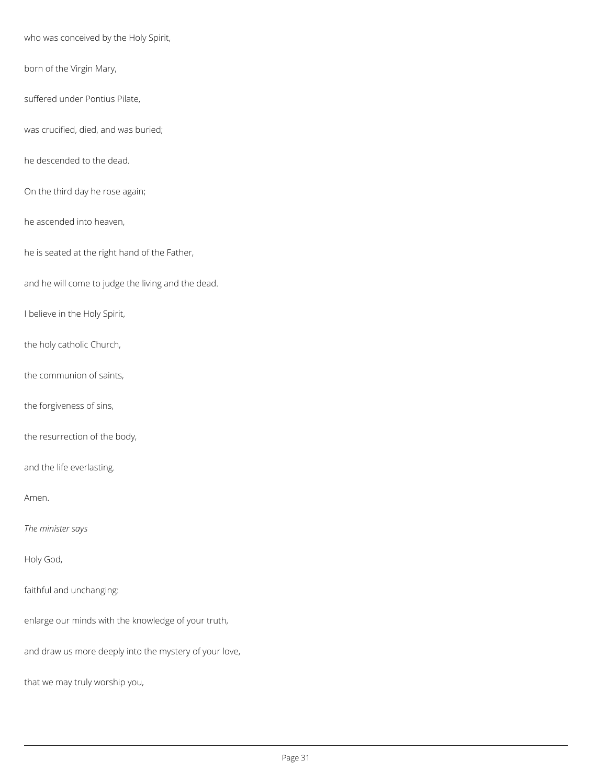who was conceived by the Holy Spirit,

born of the Virgin Mary,

suffered under Pontius Pilate,

was crucified, died, and was buried;

he descended to the dead.

On the third day he rose again;

he ascended into heaven,

he is seated at the right hand of the Father,

and he will come to judge the living and the dead.

I believe in the Holy Spirit,

the holy catholic Church,

the communion of saints,

the forgiveness of sins,

the resurrection of the body,

and the life everlasting.

Amen.

*The minister says*

Holy God,

## faithful and unchanging:

enlarge our minds with the knowledge of your truth,

and draw us more deeply into the mystery of your love,

that we may truly worship you,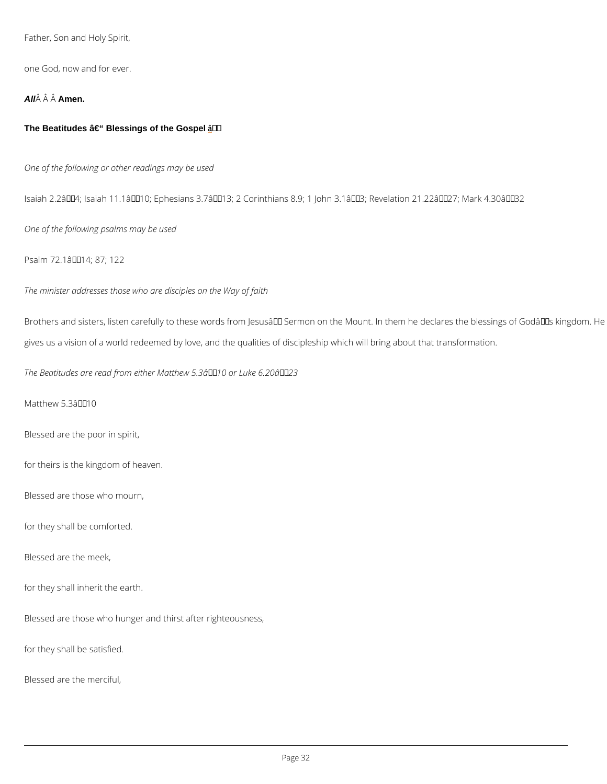Father, Son and Holy Spirit,

one God, now and for ever.

All  $\hat{A}$   $\hat{A}$  Amen.

The Beatitudes  $\hat{a} \in \hat{B}$  Blessings of the Gospel  $\hat{a} + \hat{b}$ 

One of the following or other readings may be used

Isaiah 2.2–4; Isaiah 11.1–10; Ephesians 3.7–13; 2 Corinthians 8.9; 1 John 3.1–3; Re

One of the following psalms may be used

Psalm 72.1–14; 87; 122

The minister addresses those who are disciples on the Way of faith

Brothers and sisters, listen carefully to these words from Jesus' Sermon on the Mount. In gives us a vision of a world redeemed by love, and the qualities of discipleship which will br

The Beatitudes are read from either Matthew  $5.3$ â $\in$  "10 or Luke 6.20â $\in$  "23

Matthew  $5.3â€"10$ 

Blessed are the poor in spirit,

for theirs is the kingdom of heaven.

Blessed are those who mourn,

for they shall be comforted.

Blessed are the meek,

for they shall inherit the earth.

### Blessed are those who hunger and thirst after righteousness,

for they shall be satisfied.

Blessed are the merciful,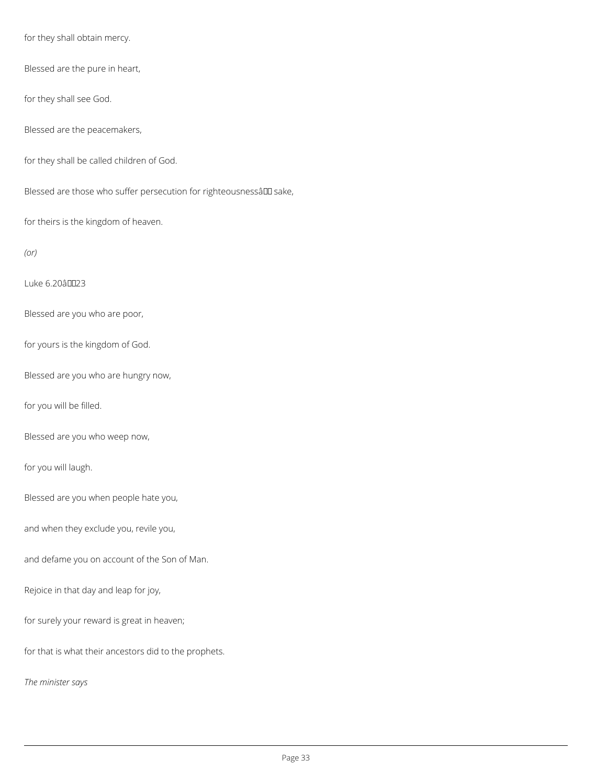for they shall obtain mercy.

Blessed are the pure in heart,

for they shall see God.

Blessed are the peacemakers,

for they shall be called children of God.

Blessed are those who suffer persecution for righteousnessâlD sake,

for theirs is the kingdom of heaven.

*(or)*

Luke 6.20â0023

Blessed are you who are poor,

for yours is the kingdom of God.

Blessed are you who are hungry now,

for you will be filled.

Blessed are you who weep now,

for you will laugh.

Blessed are you when people hate you,

and when they exclude you, revile you,

and defame you on account of the Son of Man.

Rejoice in that day and leap for joy,

for surely your reward is great in heaven;

for that is what their ancestors did to the prophets.

*The minister says*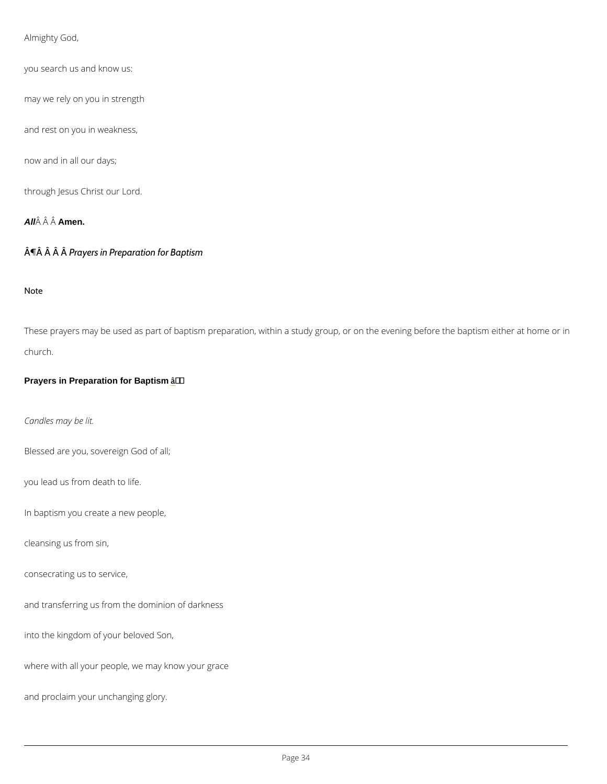Almighty God,

you search us and know us:

may we rely on you in strength

and rest on you in weakness,

now and in all our days;

through Jesus Christ our Lord.

All  $\hat{A}$   $\hat{A}$  Amen.

¶Â Â  $\hat{A}$  Târ $\hat{A}$ yers in Preparation for Baptism

These prayers may be used as part of baptism preparation, within a study group, or on the ey church.

Prayers in Preparation for Baptism  $a + f$ 

Note

Candles may be lit.

Blessed are you, sovereign God of all;

you lead us from death to life.

In baptism you create a new people,

cleansing us from sin,

consecrating us to service,

and transferring us from the dominion of darkness

into the kingdom of your beloved Son,

where with all your people, we may know your grace

and proclaim your unchanging glory.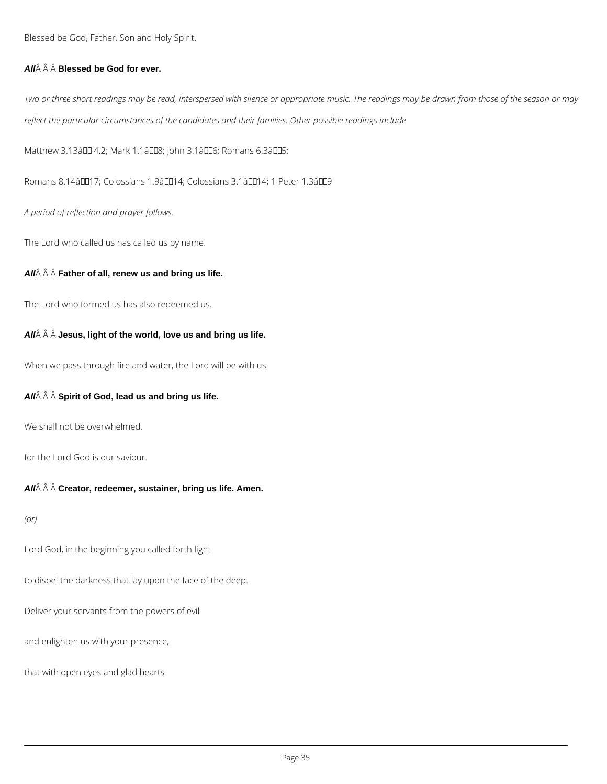Blessed be God, Father, Son and Holy Spirit.

### **All** $\hat{A}$   $\hat{A}$   $\hat{A}$  Blessed be God for ever.

*Two or three short readings may be read, interspersed with silence or appropriate music. The readings may be drawn from those of the season or may reflect the particular circumstances of the candidates and their families. Other possible readings include*

Matthew 3.13â00 4.2; Mark 1.1â008; John 3.1â006; Romans 6.3â005;

Romans 8.14â0017; Colossians 1.9â0014; Colossians 3.1â0014; 1 Peter 1.3â009

*A period of reflection and prayer follows.*

The Lord who called us has called us by name.

### All $\hat{A}$   $\hat{A}$   $\hat{A}$  Father of all, renew us and bring us life.

The Lord who formed us has also redeemed us.

All $\hat{A}$   $\hat{A}$   $\hat{A}$  Jesus, light of the world, love us and bring us life.

When we pass through fire and water, the Lord will be with us.

### All $\hat{A}$   $\hat{A}$   $\hat{A}$  Spirit of God, lead us and bring us life.

We shall not be overwhelmed,

for the Lord God is our saviour.

## **All Creator, redeemer, sustainer, bring us life. Amen.**

*(or)*

Lord God, in the beginning you called forth light

to dispel the darkness that lay upon the face of the deep.

Deliver your servants from the powers of evil

and enlighten us with your presence,

that with open eyes and glad hearts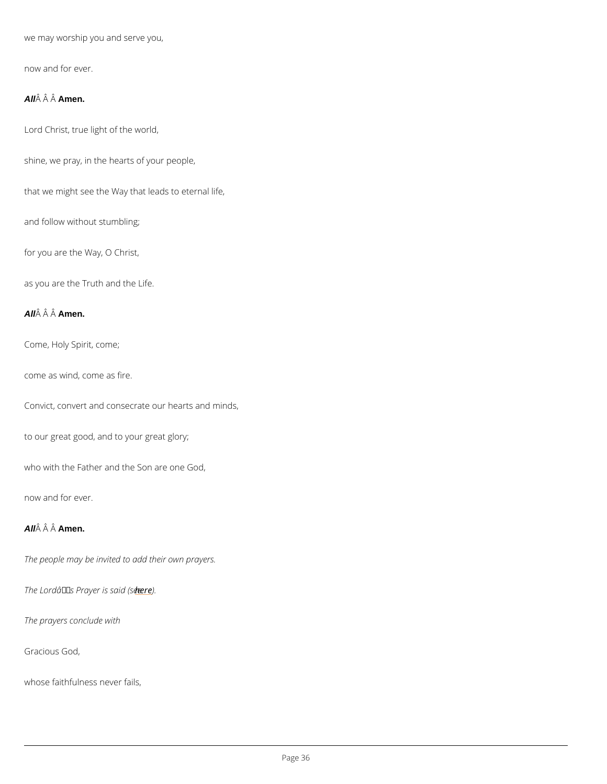we may worship you and serve you,

now and for ever.

All  $\hat{A}$   $\hat{A}$  Amen.

Lord Christ, true light of the world,

shine, we pray, in the hearts of your people,

that we might see the Way that leads to eternal life,

and follow without stumbling;

for you are the Way, O Christ,

as you are the Truth and the Life.

All  $\hat{A}$   $\hat{A}$  Amen.

Come, Holy Spirit, come;

come as wind, come as fire.

Convict, convert and consecrate our hearts and minds,

to our great good, and to your great glory;

who with the Father and the Son are one God,

now and for ever.

All  $\hat{A}$   $\hat{A}$  Amen.

The people may be invited to add their own prayers.

T[he](/var/www/www.churchofengland.org/web/baptism-and-confirmation#p94) Lord's Prahyeer)eis said (see

The prayers conclude with

Gracious God,

whose faithfulness never fails,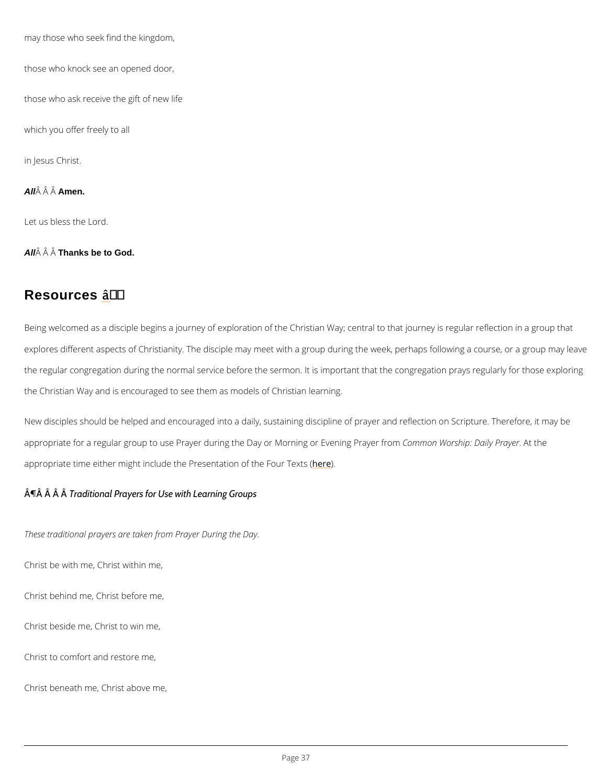may those who seek find the kingdom,

those who knock see an opened door,

those who ask receive the gift of new life

which you offer freely to all

in Jesus Christ.

All  $\hat{A}$   $\hat{A}$  Amen.

Let us bless the Lord.

All  $\hat{A}$   $\hat{A}$  Thanks be to God.

# Resources ât'

Being welcomed as a disciple begins a journey of exploration of the Christian Way; central to explores different aspects of Christianity. The disciple may meet with a group during the wee the regular congregation during the normal service before the sermon. It is important that th the Christian Way and is encouraged to see them as models of Christian learning.

New disciples should be helped and encouraged into a daily, sustaining discipline of prayer appropriate for a regular group to use Prayer during the Day CoormMhoorm iWho prosini Epve DaiaAhity t IFF neraay eer fr appropriate time either might include the Pres**betation of the Four Texts** (

¶Â Â Âraditional Prayers for Use with Learning Groups

These traditional prayers are taken from Prayer During the Day.

Christ be with me, Christ within me,

Christ behind me, Christ before me,

Christ beside me, Christ to win me,

Christ to comfort and restore me,

Christ beneath me, Christ above me,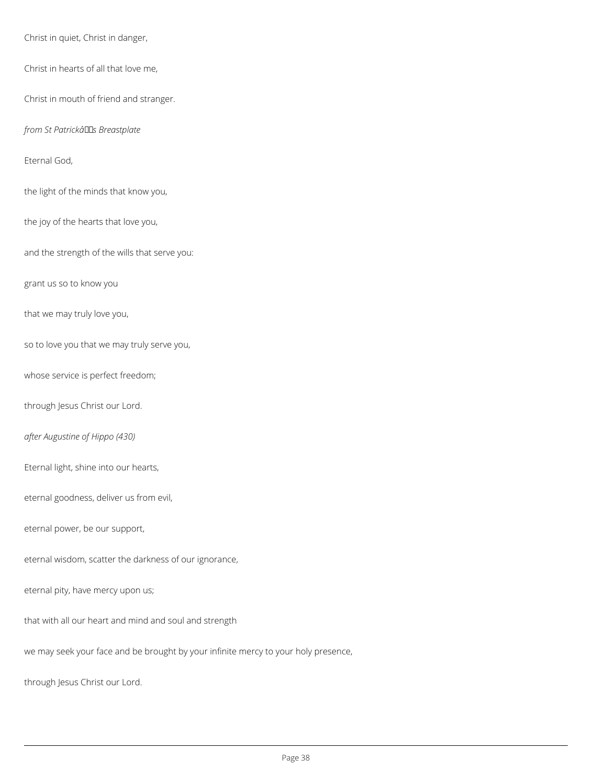Christ in quiet, Christ in danger,

Christ in hearts of all that love me,

Christ in mouth of friend and stranger.

*from St Patrickâs Breastplate*

Eternal God,

the light of the minds that know you,

the joy of the hearts that love you,

and the strength of the wills that serve you:

grant us so to know you

that we may truly love you,

so to love you that we may truly serve you,

whose service is perfect freedom;

through Jesus Christ our Lord.

*after Augustine of Hippo (430)*

Eternal light, shine into our hearts,

eternal goodness, deliver us from evil,

eternal power, be our support,

eternal wisdom, scatter the darkness of our ignorance,

### eternal pity, have mercy upon us;

that with all our heart and mind and soul and strength

we may seek your face and be brought by your infinite mercy to your holy presence,

through Jesus Christ our Lord.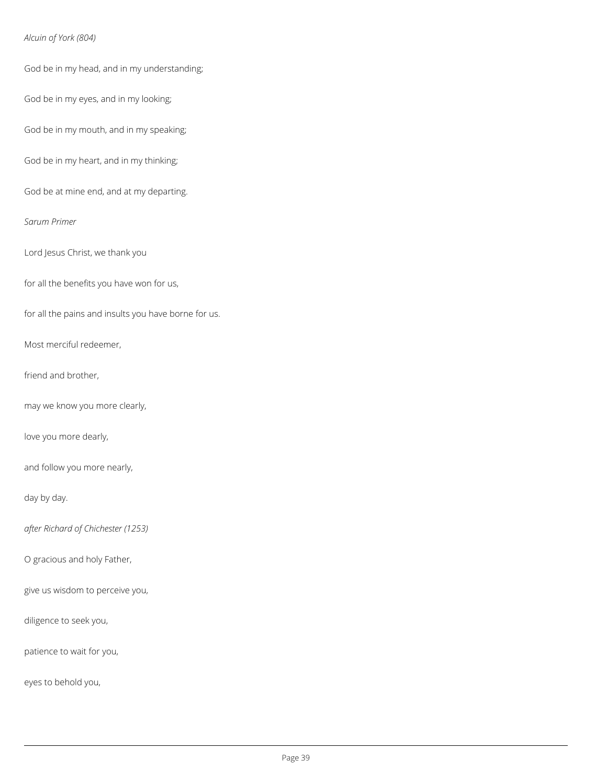### *Alcuin of York (804)*

God be in my head, and in my understanding;

God be in my eyes, and in my looking;

God be in my mouth, and in my speaking;

God be in my heart, and in my thinking;

God be at mine end, and at my departing.

### *Sarum Primer*

Lord Jesus Christ, we thank you

for all the benefits you have won for us,

for all the pains and insults you have borne for us.

Most merciful redeemer,

friend and brother,

may we know you more clearly,

love you more dearly,

and follow you more nearly,

day by day.

*after Richard of Chichester (1253)*

O gracious and holy Father,

give us wisdom to perceive you,

diligence to seek you,

patience to wait for you,

eyes to behold you,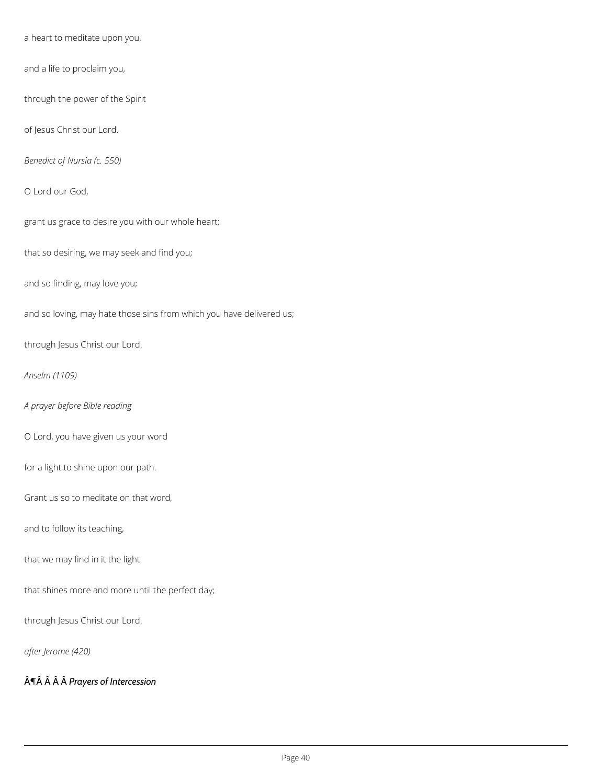a heart to meditate upon you,

and a life to proclaim you,

through the power of the Spirit

of Jesus Christ our Lord.

*Benedict of Nursia (c. 550)*

O Lord our God,

grant us grace to desire you with our whole heart;

that so desiring, we may seek and find you;

and so finding, may love you;

and so loving, may hate those sins from which you have delivered us;

through Jesus Christ our Lord.

*Anselm (1109)*

*A prayer before Bible reading*

O Lord, you have given us your word

for a light to shine upon our path.

Grant us so to meditate on that word,

and to follow its teaching,

that we may find in it the light

that shines more and more until the perfect day;

through Jesus Christ our Lord.

*after Jerome (420)*

¶ *Prayers of Intercession*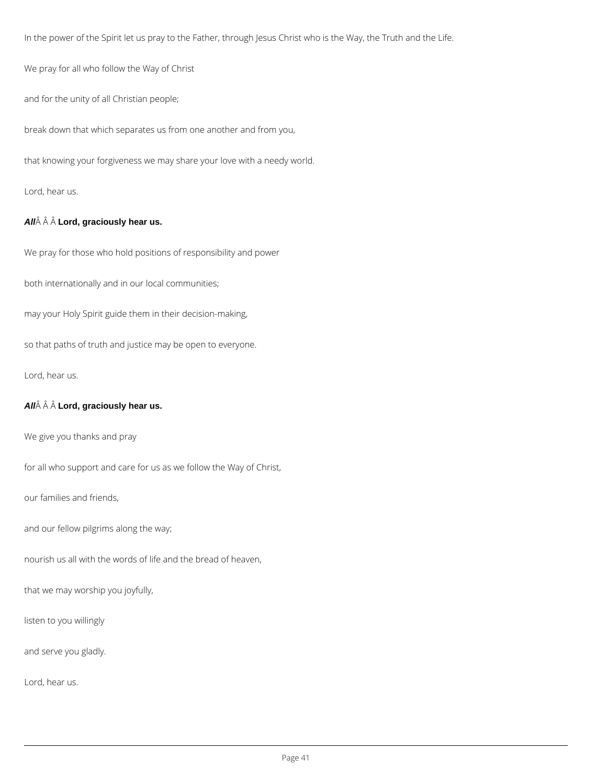In the power of the Spirit let us pray to the Father, through Jesus Christ who is the Way, the Truth and the Life.

We pray for all who follow the Way of Christ

and for the unity of all Christian people;

break down that which separates us from one another and from you,

that knowing your forgiveness we may share your love with a needy world.

Lord, hear us.

### **All Lord, graciously hear us.**

We pray for those who hold positions of responsibility and power

both internationally and in our local communities;

may your Holy Spirit guide them in their decision-making,

so that paths of truth and justice may be open to everyone.

Lord, hear us.

### **All Lord, graciously hear us.**

We give you thanks and pray

for all who support and care for us as we follow the Way of Christ,

our families and friends,

and our fellow pilgrims along the way;

nourish us all with the words of life and the bread of heaven,

that we may worship you joyfully,

listen to you willingly

and serve you gladly.

Lord, hear us.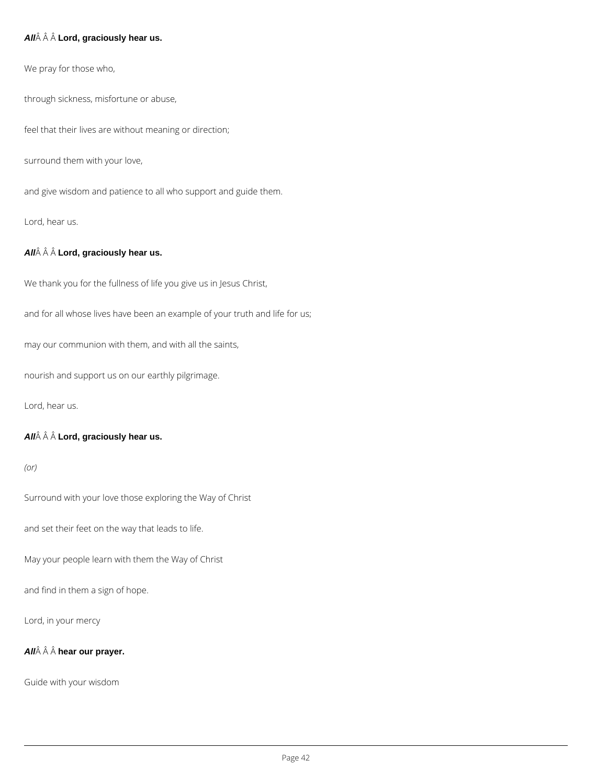### **All Lord, graciously hear us.**

We pray for those who,

through sickness, misfortune or abuse,

feel that their lives are without meaning or direction;

surround them with your love,

and give wisdom and patience to all who support and guide them.

Lord, hear us.

### **All Lord, graciously hear us.**

We thank you for the fullness of life you give us in Jesus Christ,

and for all whose lives have been an example of your truth and life for us;

may our communion with them, and with all the saints,

nourish and support us on our earthly pilgrimage.

Lord, hear us.

### **All Lord, graciously hear us.**

*(or)*

Surround with your love those exploring the Way of Christ

and set their feet on the way that leads to life.

May your people learn with them the Way of Christ

and find in them a sign of hope.

Lord, in your mercy

**All** $\hat{A}$   $\hat{A}$   $\hat{A}$  hear our prayer.

Guide with your wisdom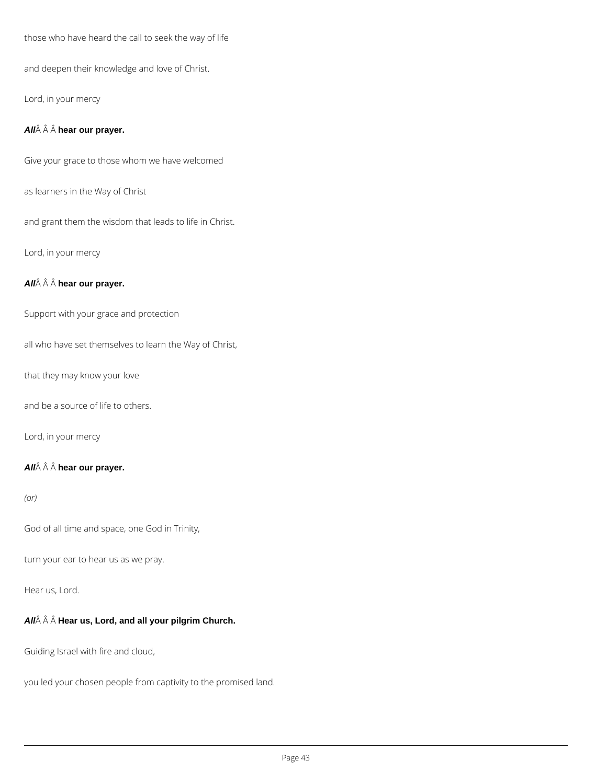those who have heard the call to seek the way of life

and deepen their knowledge and love of Christ.

Lord, in your mercy

**All** $\hat{A}$   $\hat{A}$   $\hat{A}$  hear our prayer.

Give your grace to those whom we have welcomed

as learners in the Way of Christ

and grant them the wisdom that leads to life in Christ.

Lord, in your mercy

### **All** $\hat{A}$   $\hat{A}$   $\hat{A}$  hear our prayer.

Support with your grace and protection

all who have set themselves to learn the Way of Christ,

that they may know your love

and be a source of life to others.

Lord, in your mercy

### **All** $\hat{A}$   $\hat{A}$   $\hat{A}$  hear our prayer.

*(or)*

God of all time and space, one God in Trinity,

turn your ear to hear us as we pray.

### Hear us, Lord.

## All $\hat{A}$   $\hat{A}$   $\hat{A}$  Hear us, Lord, and all your pilgrim Church.

Guiding Israel with fire and cloud,

you led your chosen people from captivity to the promised land.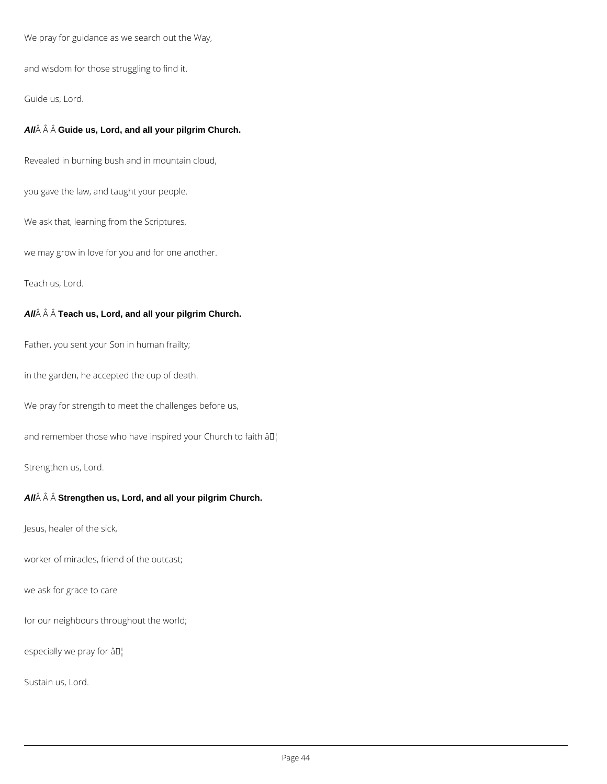We pray for guidance as we search out the Way,

and wisdom for those struggling to find it.

Guide us, Lord.

## **All Guide us, Lord, and all your pilgrim Church.**

Revealed in burning bush and in mountain cloud,

you gave the law, and taught your people.

We ask that, learning from the Scriptures,

we may grow in love for you and for one another.

Teach us, Lord.

### All $\hat{A}$   $\hat{A}$   $\hat{A}$  Teach us, Lord, and all your pilgrim Church.

Father, you sent your Son in human frailty;

in the garden, he accepted the cup of death.

We pray for strength to meet the challenges before us,

and remember those who have inspired your Church to faith â<sup>[]</sup>

Strengthen us, Lord.

### All $\hat{A}$   $\hat{A}$   $\hat{A}$  Strengthen us, Lord, and all your pilgrim Church.

Jesus, healer of the sick,

worker of miracles, friend of the outcast;

we ask for grace to care

for our neighbours throughout the world;

especially we pray for âD¦

Sustain us, Lord.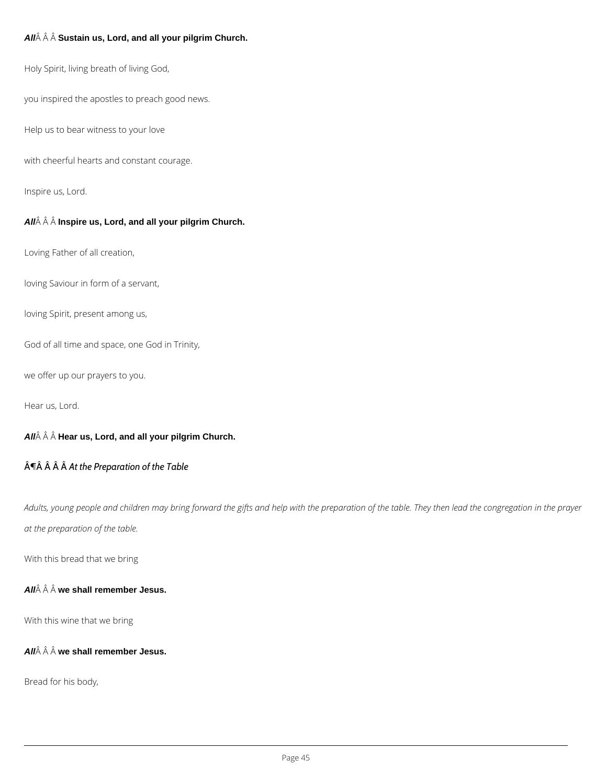## All $\hat{A}$   $\hat{A}$   $\hat{A}$  Sustain us, Lord, and all your pilgrim Church.

Holy Spirit, living breath of living God,

you inspired the apostles to preach good news.

Help us to bear witness to your love

with cheerful hearts and constant courage.

Inspire us, Lord.

## **All Inspire us, Lord, and all your pilgrim Church.**

Loving Father of all creation,

loving Saviour in form of a servant,

loving Spirit, present among us,

God of all time and space, one God in Trinity,

we offer up our prayers to you.

Hear us, Lord.

## All $\hat{A}$   $\hat{A}$   $\hat{A}$  Hear us, Lord, and all your pilgrim Church.

### ¶ *At the Preparation of the Table*

*Adults, young people and children may bring forward the gifts and help with the preparation of the table. They then lead the congregation in the prayer at the preparation of the table.*

With this bread that we bring

**All we shall remember Jesus.**

With this wine that we bring

**All** $\hat{A}$   $\hat{A}$   $\hat{A}$  we shall remember Jesus.

Bread for his body,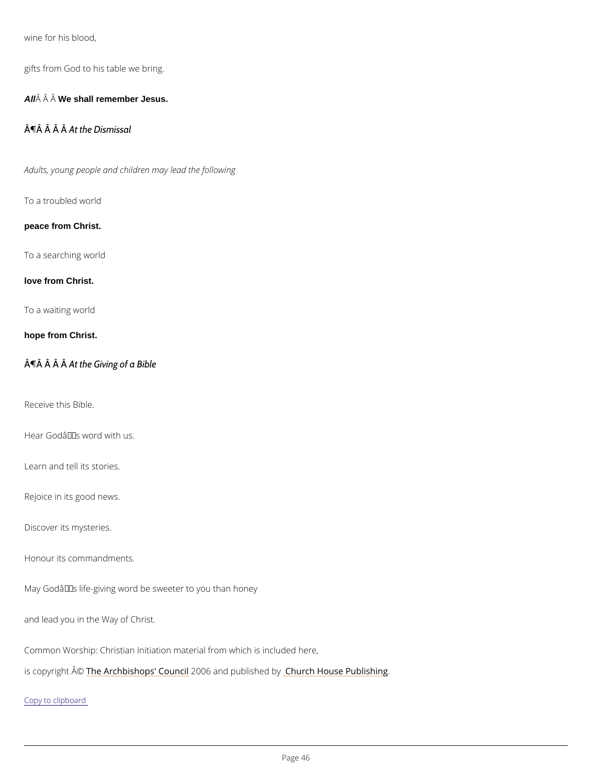wine for his blood,

gifts from God to his table we bring.

All  $\hat{A}$   $\hat{A}$  We shall remember Jesus.

 $\hat{A}$   $\hat{\Pi}$   $\hat{A}$   $\hat{A}$   $\hat{A}$   $\hat{A}$  t  $\hat{A}$  the Dismissal

Adults, young people and children may lead the following

To a troubled world

peace from Christ.

To a searching world

love from Christ.

To a waiting world

hope from Christ.

 $\hat{A}$   $\hat{\Pi}$   $\hat{A}$   $\hat{A}$   $\hat{A}$   $\hat{A}$  the Giving of a Bible

Receive this Bible.

Hear Godâ $\epsilon$ <sup>TM</sup>s word with us.

Learn and tell its stories.

Rejoice in its good news.

Discover its mysteries.

Honour its commandments.

May God's life-giving word be sweeter to you than honey

and lead you in the Way of Christ.

Common Worship: Christian Initiation material from which is included here,

is copyrighth  $\hat{\mathbb{A}}$  @Archbishops' 2000 oCn and publish held roby House Publishing

Copy to clipboard